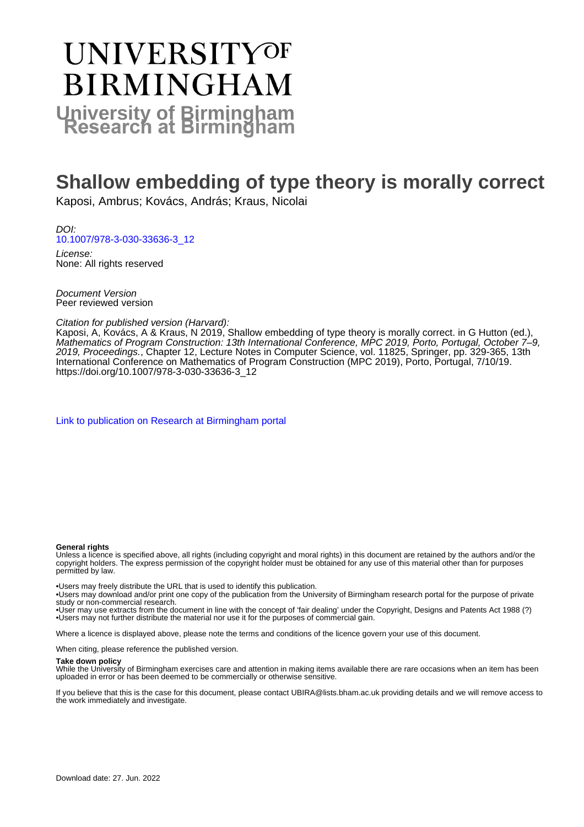# **UNIVERSITYOF BIRMINGHAM University of Birmingham**

# **Shallow embedding of type theory is morally correct**

Kaposi, Ambrus; Kovács, András; Kraus, Nicolai

DOI: [10.1007/978-3-030-33636-3\\_12](https://doi.org/10.1007/978-3-030-33636-3_12)

License: None: All rights reserved

Document Version Peer reviewed version

Citation for published version (Harvard):

Kaposi, A, Kovács, A & Kraus, N 2019, Shallow embedding of type theory is morally correct. in G Hutton (ed.), Mathematics of Program Construction: 13th International Conference, MPC 2019, Porto, Portugal, October 7–9, 2019, Proceedings., Chapter 12, Lecture Notes in Computer Science, vol. 11825, Springer, pp. 329-365, 13th International Conference on Mathematics of Program Construction (MPC 2019), Porto, Portugal, 7/10/19. [https://doi.org/10.1007/978-3-030-33636-3\\_12](https://doi.org/10.1007/978-3-030-33636-3_12)

[Link to publication on Research at Birmingham portal](https://birmingham.elsevierpure.com/en/publications/ae16ea3d-8f86-4a2d-9f2e-e44bda90dd89)

#### **General rights**

Unless a licence is specified above, all rights (including copyright and moral rights) in this document are retained by the authors and/or the copyright holders. The express permission of the copyright holder must be obtained for any use of this material other than for purposes permitted by law.

• Users may freely distribute the URL that is used to identify this publication.

• Users may download and/or print one copy of the publication from the University of Birmingham research portal for the purpose of private study or non-commercial research.

• User may use extracts from the document in line with the concept of 'fair dealing' under the Copyright, Designs and Patents Act 1988 (?) • Users may not further distribute the material nor use it for the purposes of commercial gain.

Where a licence is displayed above, please note the terms and conditions of the licence govern your use of this document.

When citing, please reference the published version.

#### **Take down policy**

While the University of Birmingham exercises care and attention in making items available there are rare occasions when an item has been uploaded in error or has been deemed to be commercially or otherwise sensitive.

If you believe that this is the case for this document, please contact UBIRA@lists.bham.ac.uk providing details and we will remove access to the work immediately and investigate.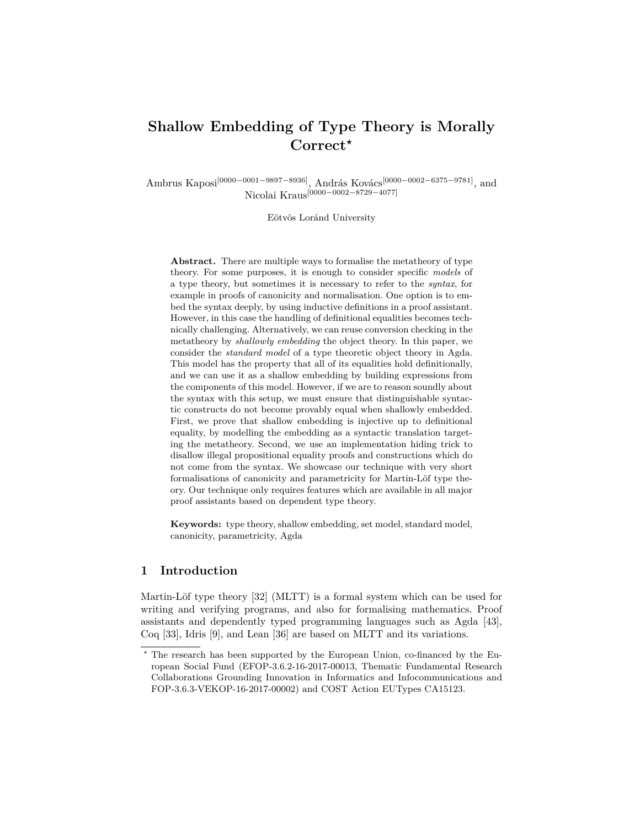# **Shallow Embedding of Type Theory is Morally Correct***<sup>⋆</sup>*

Ambrus Kaposi[0000*−*0001*−*9897*−*8936], András Kovács[0000*−*0002*−*6375*−*9781], and Nicolai Kraus[0000*−*0002*−*8729*−*4077]

Eötvös Loránd University

**Abstract.** There are multiple ways to formalise the metatheory of type theory. For some purposes, it is enough to consider specific *models* of a type theory, but sometimes it is necessary to refer to the *syntax*, for example in proofs of canonicity and normalisation. One option is to embed the syntax deeply, by using inductive definitions in a proof assistant. However, in this case the handling of definitional equalities becomes technically challenging. Alternatively, we can reuse conversion checking in the metatheory by *shallowly embedding* the object theory. In this paper, we consider the *standard model* of a type theoretic object theory in Agda. This model has the property that all of its equalities hold definitionally, and we can use it as a shallow embedding by building expressions from the components of this model. However, if we are to reason soundly about the syntax with this setup, we must ensure that distinguishable syntactic constructs do not become provably equal when shallowly embedded. First, we prove that shallow embedding is injective up to definitional equality, by modelling the embedding as a syntactic translation targeting the metatheory. Second, we use an implementation hiding trick to disallow illegal propositional equality proofs and constructions which do not come from the syntax. We showcase our technique with very short formalisations of canonicity and parametricity for Martin-Löf type theory. Our technique only requires features which are available in all major proof assistants based on dependent type theory.

**Keywords:** type theory, shallow embedding, set model, standard model, canonicity, parametricity, Agda

# **1 Introduction**

Martin-Löf type theory [\[32](#page-31-0)] (MLTT) is a formal system which can be used for writing and verifying programs, and also for formalising mathematics. Proof assistants and dependently typed programming languages such as Agda [\[43](#page-32-0)], Coq [[33\]](#page-31-1), Idris [\[9](#page-30-0)], and Lean [[36\]](#page-32-1) are based on MLTT and its variations.

*<sup>⋆</sup>* The research has been supported by the European Union, co-financed by the European Social Fund (EFOP-3.6.2-16-2017-00013, Thematic Fundamental Research Collaborations Grounding Innovation in Informatics and Infocommunications and FOP-3.6.3-VEKOP-16-2017-00002) and COST Action EUTypes CA15123.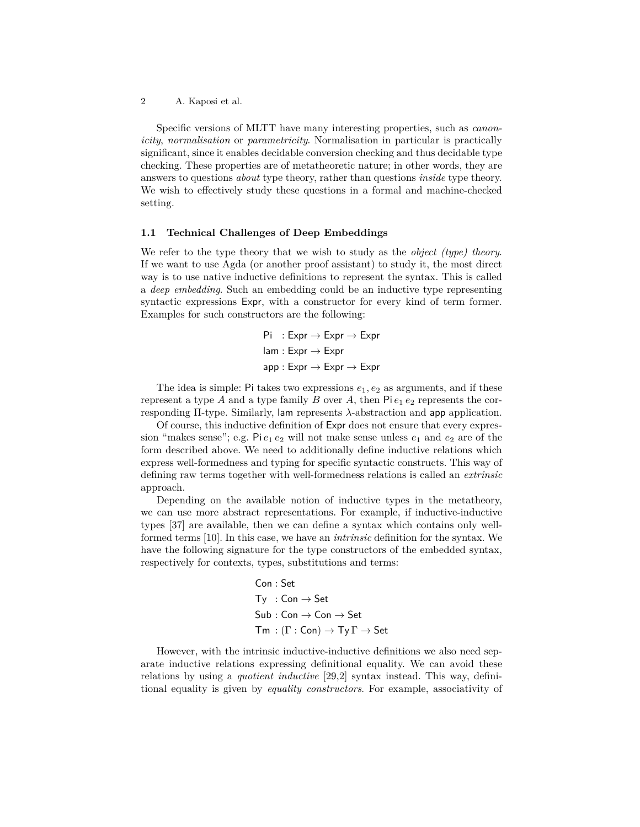Specific versions of MLTT have many interesting properties, such as *canonicity*, *normalisation* or *parametricity*. Normalisation in particular is practically significant, since it enables decidable conversion checking and thus decidable type checking. These properties are of metatheoretic nature; in other words, they are answers to questions *about* type theory, rather than questions *inside* type theory. We wish to effectively study these questions in a formal and machine-checked setting.

#### <span id="page-2-0"></span>**1.1 Technical Challenges of Deep Embeddings**

We refer to the type theory that we wish to study as the *object (type) theory*. If we want to use Agda (or another proof assistant) to study it, the most direct way is to use native inductive definitions to represent the syntax. This is called a *deep embedding*. Such an embedding could be an inductive type representing syntactic expressions Expr, with a constructor for every kind of term former. Examples for such constructors are the following:

> Pi : Expr *→* Expr *→* Expr lam : Expr *→* Expr app : Expr *→* Expr *→* Expr

The idea is simple: Pi takes two expressions  $e_1, e_2$  as arguments, and if these represent a type A and a type family B over A, then  $\text{Pi} e_1 e_2$  represents the corresponding Π-type. Similarly, lam represents *λ*-abstraction and app application.

Of course, this inductive definition of Expr does not ensure that every expression "makes sense"; e.g. Pi  $e_1$   $e_2$  will not make sense unless  $e_1$  and  $e_2$  are of the form described above. We need to additionally define inductive relations which express well-formedness and typing for specific syntactic constructs. This way of defining raw terms together with well-formedness relations is called an *extrinsic* approach.

Depending on the available notion of inductive types in the metatheory, we can use more abstract representations. For example, if inductive-inductive types [\[37](#page-32-2)] are available, then we can define a syntax which contains only wellformed terms [\[10](#page-30-1)]. In this case, we have an *intrinsic* definition for the syntax. We have the following signature for the type constructors of the embedded syntax, respectively for contexts, types, substitutions and terms:

> Con : Set Ty : Con *→* Set Sub : Con *→* Con *→* Set Tm : (Γ : Con) *→* Ty Γ *→* Set

However, with the intrinsic inductive-inductive definitions we also need separate inductive relations expressing definitional equality. We can avoid these relations by using a *quotient inductive* [[29,](#page-31-2)[2\]](#page-30-2) syntax instead. This way, definitional equality is given by *equality constructors*. For example, associativity of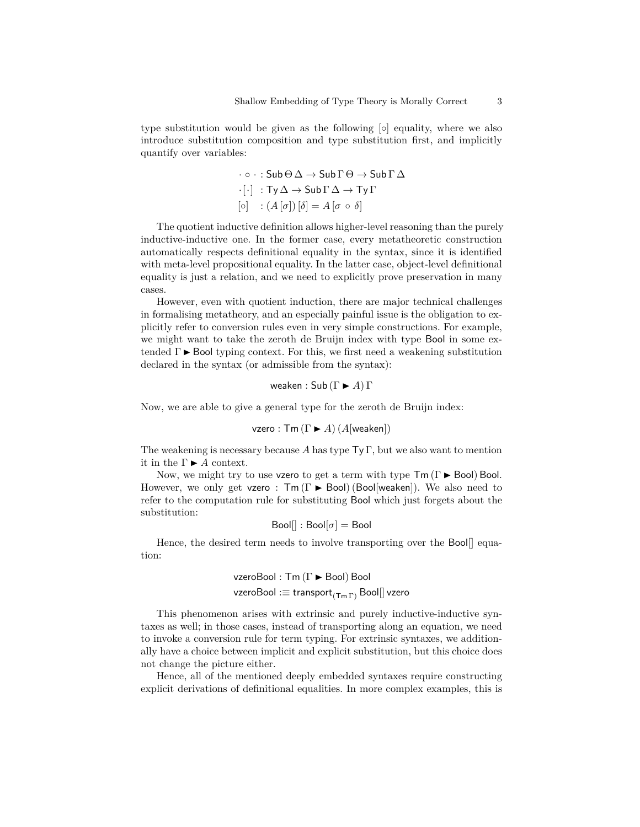type substitution would be given as the following [*◦*] equality, where we also introduce substitution composition and type substitution first, and implicitly quantify over variables:

$$
\cdot \circ \cdot : \mathsf{Sub} \,\Theta \,\Delta \to \mathsf{Sub} \,\Gamma \,\Theta \to \mathsf{Sub} \,\Gamma \,\Delta
$$

$$
\cdot [\cdot] : \mathsf{Ty} \,\Delta \to \mathsf{Sub} \,\Gamma \,\Delta \to \mathsf{Ty} \,\Gamma
$$

$$
[\circ] : (A [\sigma]) [\delta] = A [\sigma \circ \delta]
$$

The quotient inductive definition allows higher-level reasoning than the purely inductive-inductive one. In the former case, every metatheoretic construction automatically respects definitional equality in the syntax, since it is identified with meta-level propositional equality. In the latter case, object-level definitional equality is just a relation, and we need to explicitly prove preservation in many cases.

However, even with quotient induction, there are major technical challenges in formalising metatheory, and an especially painful issue is the obligation to explicitly refer to conversion rules even in very simple constructions. For example, we might want to take the zeroth de Bruijn index with type Bool in some extended  $\Gamma \triangleright$  Bool typing context. For this, we first need a weakening substitution declared in the syntax (or admissible from the syntax):

$$
\mathsf{weaken} : \mathsf{Sub}\,(\Gamma \blacktriangleright A)\,\Gamma
$$

Now, we are able to give a general type for the zeroth de Bruijn index:

$$
\mathsf{vzero} : \mathsf{Tm}\,(\Gamma \blacktriangleright A)\,(A[\mathsf{weaken}])
$$

The weakening is necessary because  $A$  has type  $Ty \Gamma$ , but we also want to mention it in the  $\Gamma \triangleright A$  context.

Now, we might try to use vzero to get a term with type  $\mathsf{Tm}(\Gamma \blacktriangleright \mathsf{Bool})$  Bool. However, we only get vzero :  $\mathsf{Tm}(\Gamma \triangleright \mathsf{Bool})$  (Bool[weaken]). We also need to refer to the computation rule for substituting Bool which just forgets about the substitution:

$$
Bool[] : Bool[\sigma] = Bool
$$

Hence, the desired term needs to involve transporting over the Bool. equation:

vzeroBool : Tm (Γ 
$$
\blacktriangleright
$$
 Bool) Bool  
\nvzeroBool := transport<sub>(Tm Γ)</sub>Bool[] vzero

This phenomenon arises with extrinsic and purely inductive-inductive syntaxes as well; in those cases, instead of transporting along an equation, we need to invoke a conversion rule for term typing. For extrinsic syntaxes, we additionally have a choice between implicit and explicit substitution, but this choice does not change the picture either.

Hence, all of the mentioned deeply embedded syntaxes require constructing explicit derivations of definitional equalities. In more complex examples, this is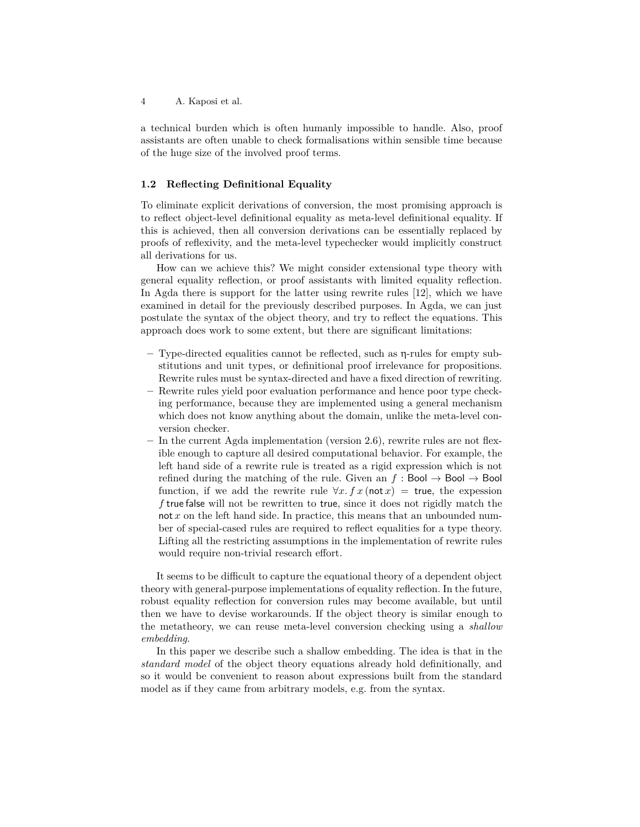a technical burden which is often humanly impossible to handle. Also, proof assistants are often unable to check formalisations within sensible time because of the huge size of the involved proof terms.

#### **1.2 Reflecting Definitional Equality**

To eliminate explicit derivations of conversion, the most promising approach is to reflect object-level definitional equality as meta-level definitional equality. If this is achieved, then all conversion derivations can be essentially replaced by proofs of reflexivity, and the meta-level typechecker would implicitly construct all derivations for us.

How can we achieve this? We might consider extensional type theory with general equality reflection, or proof assistants with limited equality reflection. In Agda there is support for the latter using rewrite rules [\[12](#page-30-3)], which we have examined in detail for the previously described purposes. In Agda, we can just postulate the syntax of the object theory, and try to reflect the equations. This approach does work to some extent, but there are significant limitations:

- **–** Type-directed equalities cannot be reflected, such as η-rules for empty substitutions and unit types, or definitional proof irrelevance for propositions. Rewrite rules must be syntax-directed and have a fixed direction of rewriting.
- **–** Rewrite rules yield poor evaluation performance and hence poor type checking performance, because they are implemented using a general mechanism which does not know anything about the domain, unlike the meta-level conversion checker.
- **–** In the current Agda implementation (version 2.6), rewrite rules are not flexible enough to capture all desired computational behavior. For example, the left hand side of a rewrite rule is treated as a rigid expression which is not refined during the matching of the rule. Given an *f* : Bool *→* Bool *→* Bool function, if we add the rewrite rule  $\forall x. f x (not x) = \text{true}$ , the expession *f* true false will not be rewritten to true, since it does not rigidly match the not x on the left hand side. In practice, this means that an unbounded number of special-cased rules are required to reflect equalities for a type theory. Lifting all the restricting assumptions in the implementation of rewrite rules would require non-trivial research effort.

It seems to be difficult to capture the equational theory of a dependent object theory with general-purpose implementations of equality reflection. In the future, robust equality reflection for conversion rules may become available, but until then we have to devise workarounds. If the object theory is similar enough to the metatheory, we can reuse meta-level conversion checking using a *shallow embedding*.

In this paper we describe such a shallow embedding. The idea is that in the *standard model* of the object theory equations already hold definitionally, and so it would be convenient to reason about expressions built from the standard model as if they came from arbitrary models, e.g. from the syntax.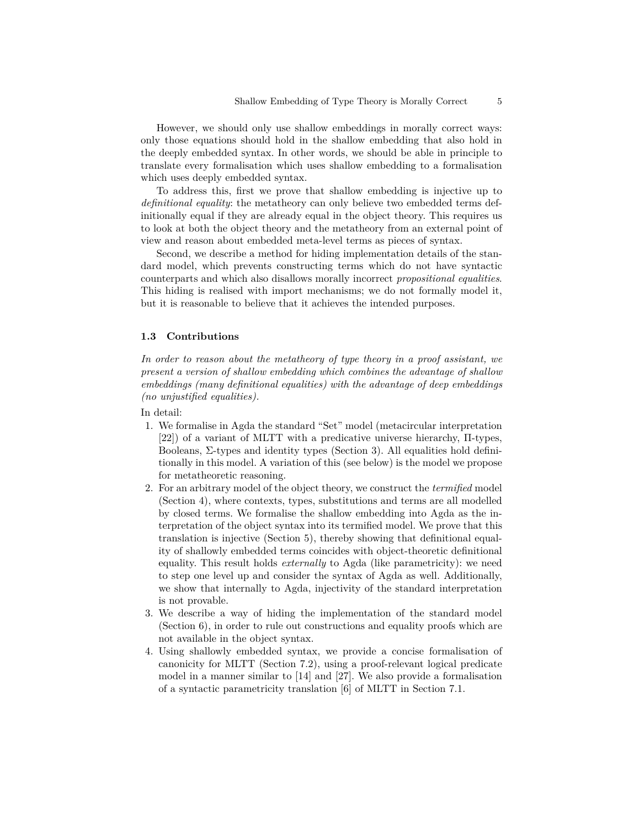However, we should only use shallow embeddings in morally correct ways: only those equations should hold in the shallow embedding that also hold in the deeply embedded syntax. In other words, we should be able in principle to translate every formalisation which uses shallow embedding to a formalisation which uses deeply embedded syntax.

To address this, first we prove that shallow embedding is injective up to *definitional equality*: the metatheory can only believe two embedded terms definitionally equal if they are already equal in the object theory. This requires us to look at both the object theory and the metatheory from an external point of view and reason about embedded meta-level terms as pieces of syntax.

Second, we describe a method for hiding implementation details of the standard model, which prevents constructing terms which do not have syntactic counterparts and which also disallows morally incorrect *propositional equalities*. This hiding is realised with import mechanisms; we do not formally model it, but it is reasonable to believe that it achieves the intended purposes.

#### **1.3 Contributions**

*In order to reason about the metatheory of type theory in a proof assistant, we present a version of shallow embedding which combines the advantage of shallow embeddings (many definitional equalities) with the advantage of deep embeddings (no unjustified equalities).*

In detail:

- 1. We formalise in Agda the standard "Set" model (metacircular interpretation [\[22](#page-31-3)]) of a variant of MLTT with a predicative universe hierarchy, Π-types, Booleans,  $\Sigma$ -types and identity types (Section [3\)](#page-12-0). All equalities hold definitionally in this model. A variation of this (see below) is the model we propose for metatheoretic reasoning.
- 2. For an arbitrary model of the object theory, we construct the *termified* model (Section [4](#page-16-0)), where contexts, types, substitutions and terms are all modelled by closed terms. We formalise the shallow embedding into Agda as the interpretation of the object syntax into its termified model. We prove that this translation is injective (Section [5](#page-18-0)), thereby showing that definitional equality of shallowly embedded terms coincides with object-theoretic definitional equality. This result holds *externally* to Agda (like parametricity): we need to step one level up and consider the syntax of Agda as well. Additionally, we show that internally to Agda, injectivity of the standard interpretation is not provable.
- 3. We describe a way of hiding the implementation of the standard model (Section [6](#page-21-0)), in order to rule out constructions and equality proofs which are not available in the object syntax.
- 4. Using shallowly embedded syntax, we provide a concise formalisation of canonicity for MLTT (Section [7.2\)](#page-24-0), using a proof-relevant logical predicate model in a manner similar to [\[14](#page-30-4)] and [[27\]](#page-31-4). We also provide a formalisation of a syntactic parametricity translation [[6\]](#page-30-5) of MLTT in Section [7.1.](#page-23-0)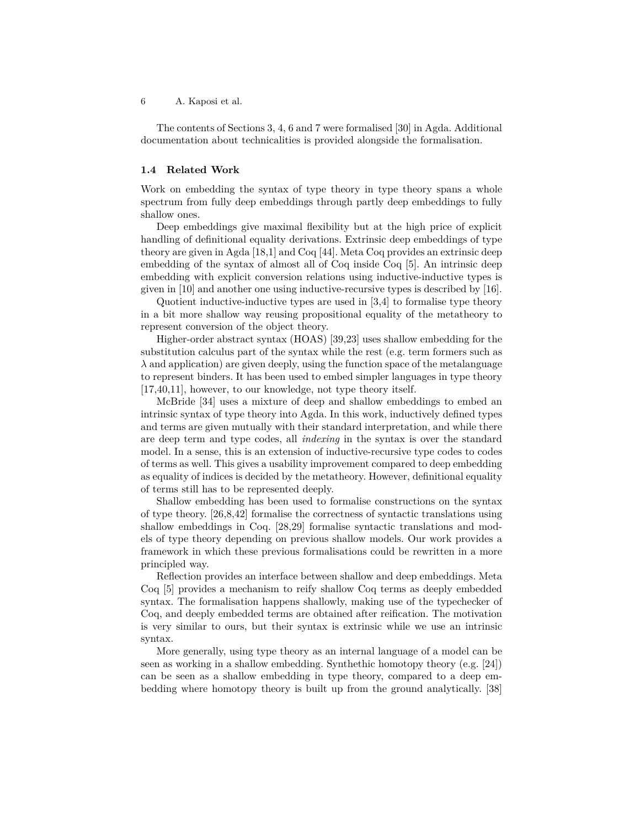The contents of Sections [3,](#page-12-0) [4,](#page-16-0) [6](#page-21-0) and [7](#page-23-1) were formalised [[30\]](#page-31-5) in Agda. Additional documentation about technicalities is provided alongside the formalisation.

#### **1.4 Related Work**

Work on embedding the syntax of type theory in type theory spans a whole spectrum from fully deep embeddings through partly deep embeddings to fully shallow ones.

Deep embeddings give maximal flexibility but at the high price of explicit handling of definitional equality derivations. Extrinsic deep embeddings of type theory are given in Agda [\[18](#page-31-6),[1\]](#page-29-0) and Coq [[44\]](#page-32-3). Meta Coq provides an extrinsic deep embedding of the syntax of almost all of Coq inside Coq [[5\]](#page-30-6). An intrinsic deep embedding with explicit conversion relations using inductive-inductive types is given in [[10\]](#page-30-1) and another one using inductive-recursive types is described by [\[16](#page-30-7)].

Quotient inductive-inductive types are used in [\[3](#page-30-8)[,4\]](#page-30-9) to formalise type theory in a bit more shallow way reusing propositional equality of the metatheory to represent conversion of the object theory.

Higher-order abstract syntax (HOAS) [[39,](#page-32-4)[23](#page-31-7)] uses shallow embedding for the substitution calculus part of the syntax while the rest (e.g. term formers such as *λ* and application) are given deeply, using the function space of the metalanguage to represent binders. It has been used to embed simpler languages in type theory [[17](#page-30-10)[,40](#page-32-5),[11\]](#page-30-11), however, to our knowledge, not type theory itself.

McBride [[34\]](#page-31-8) uses a mixture of deep and shallow embeddings to embed an intrinsic syntax of type theory into Agda. In this work, inductively defined types and terms are given mutually with their standard interpretation, and while there are deep term and type codes, all *indexing* in the syntax is over the standard model. In a sense, this is an extension of inductive-recursive type codes to codes of terms as well. This gives a usability improvement compared to deep embedding as equality of indices is decided by the metatheory. However, definitional equality of terms still has to be represented deeply.

Shallow embedding has been used to formalise constructions on the syntax of type theory. [\[26,](#page-31-9)[8,](#page-30-12)[42](#page-32-6)] formalise the correctness of syntactic translations using shallow embeddings in Coq. [\[28](#page-31-10)[,29\]](#page-31-2) formalise syntactic translations and models of type theory depending on previous shallow models. Our work provides a framework in which these previous formalisations could be rewritten in a more principled way.

Reflection provides an interface between shallow and deep embeddings. Meta Coq [\[5](#page-30-6)] provides a mechanism to reify shallow Coq terms as deeply embedded syntax. The formalisation happens shallowly, making use of the typechecker of Coq, and deeply embedded terms are obtained after reification. The motivation is very similar to ours, but their syntax is extrinsic while we use an intrinsic syntax.

More generally, using type theory as an internal language of a model can be seen as working in a shallow embedding. Synthethic homotopy theory (e.g. [[24\]](#page-31-11)) can be seen as a shallow embedding in type theory, compared to a deep embedding where homotopy theory is built up from the ground analytically. [[38\]](#page-32-7)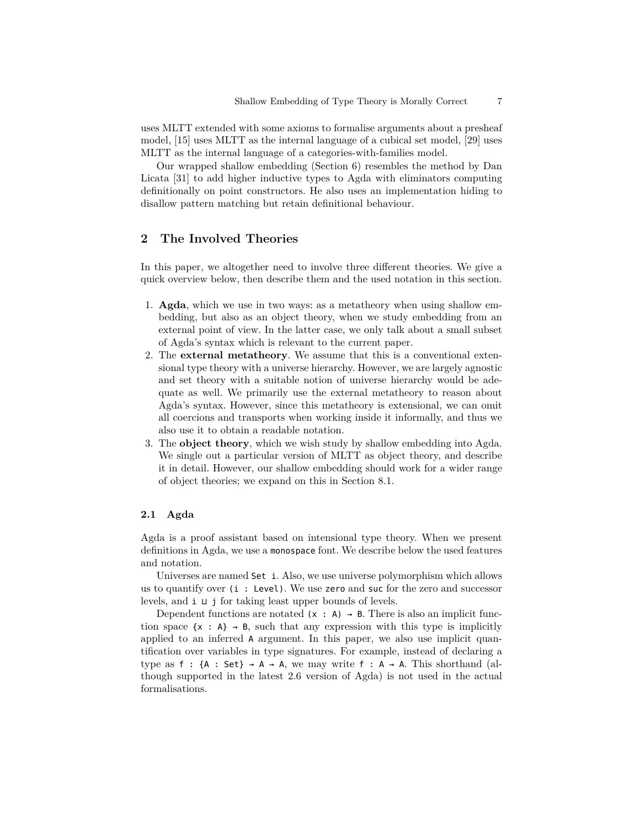uses MLTT extended with some axioms to formalise arguments about a presheaf model, [[15\]](#page-30-13) uses MLTT as the internal language of a cubical set model, [\[29](#page-31-2)] uses MLTT as the internal language of a categories-with-families model.

Our wrapped shallow embedding (Section [6\)](#page-21-0) resembles the method by Dan Licata [[31\]](#page-31-12) to add higher inductive types to Agda with eliminators computing definitionally on point constructors. He also uses an implementation hiding to disallow pattern matching but retain definitional behaviour.

# **2 The Involved Theories**

In this paper, we altogether need to involve three different theories. We give a quick overview below, then describe them and the used notation in this section.

- 1. **Agda**, which we use in two ways: as a metatheory when using shallow embedding, but also as an object theory, when we study embedding from an external point of view. In the latter case, we only talk about a small subset of Agda's syntax which is relevant to the current paper.
- 2. The **external metatheory**. We assume that this is a conventional extensional type theory with a universe hierarchy. However, we are largely agnostic and set theory with a suitable notion of universe hierarchy would be adequate as well. We primarily use the external metatheory to reason about Agda's syntax. However, since this metatheory is extensional, we can omit all coercions and transports when working inside it informally, and thus we also use it to obtain a readable notation.
- 3. The **object theory**, which we wish study by shallow embedding into Agda. We single out a particular version of MLTT as object theory, and describe it in detail. However, our shallow embedding should work for a wider range of object theories; we expand on this in Section [8.1.](#page-26-0)

#### **2.1 Agda**

Agda is a proof assistant based on intensional type theory. When we present definitions in Agda, we use a monospace font. We describe below the used features and notation.

Universes are named Set i. Also, we use universe polymorphism which allows us to quantify over (i : Level). We use zero and suc for the zero and successor levels, and i ⊔ j for taking least upper bounds of levels.

Dependent functions are notated  $(x : A) \rightarrow B$ . There is also an implicit function space  $\{x : A\} \rightarrow B$ , such that any expression with this type is implicitly applied to an inferred A argument. In this paper, we also use implicit quantification over variables in type signatures. For example, instead of declaring a type as f : {A : Set}  $\rightarrow$  A  $\rightarrow$  A, we may write f : A  $\rightarrow$  A. This shorthand (although supported in the latest 2.6 version of Agda) is not used in the actual formalisations.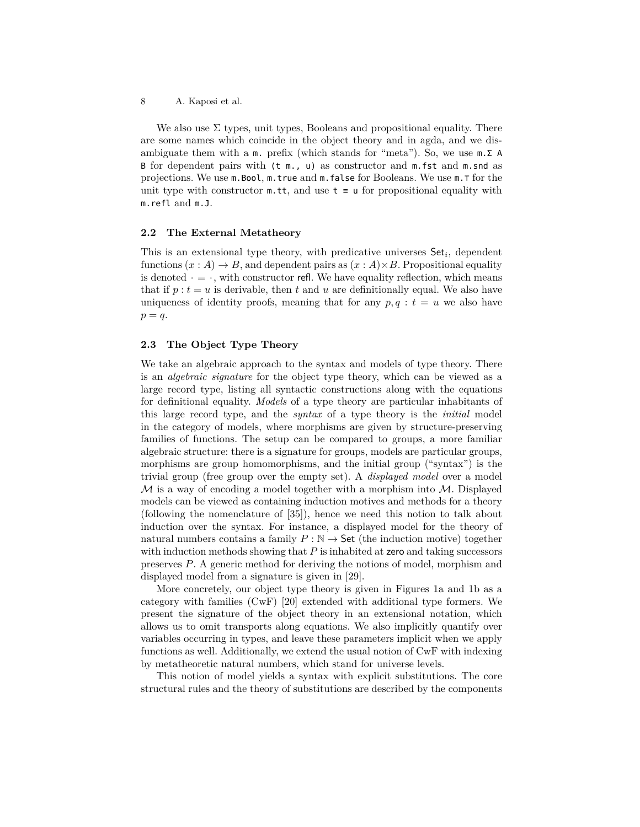We also use  $\Sigma$  types, unit types, Booleans and propositional equality. There are some names which coincide in the object theory and in agda, and we disambiguate them with a m. prefix (which stands for "meta"). So, we use  $m.\Sigma$  A B for dependent pairs with (t m., u) as constructor and m.fst and m.snd as projections. We use m.Bool, m.true and m.false for Booleans. We use m.⊤ for the unit type with constructor  $m$ .tt, and use  $t \equiv u$  for propositional equality with m.refl and m.J.

#### **2.2 The External Metatheory**

This is an extensional type theory, with predicative universes Set*<sup>i</sup>* , dependent functions  $(x : A) \rightarrow B$ , and dependent pairs as  $(x : A) \times B$ . Propositional equality is denoted  $\cdot = \cdot$ , with constructor refl. We have equality reflection, which means that if  $p : t = u$  is derivable, then t and u are definitionally equal. We also have uniqueness of identity proofs, meaning that for any  $p, q : t = u$  we also have  $p = q$ .

#### <span id="page-8-0"></span>**2.3 The Object Type Theory**

We take an algebraic approach to the syntax and models of type theory. There is an *algebraic signature* for the object type theory, which can be viewed as a large record type, listing all syntactic constructions along with the equations for definitional equality. *Models* of a type theory are particular inhabitants of this large record type, and the *syntax* of a type theory is the *initial* model in the category of models, where morphisms are given by structure-preserving families of functions. The setup can be compared to groups, a more familiar algebraic structure: there is a signature for groups, models are particular groups, morphisms are group homomorphisms, and the initial group ("syntax") is the trivial group (free group over the empty set). A *displayed model* over a model *M* is a way of encoding a model together with a morphism into *M*. Displayed models can be viewed as containing induction motives and methods for a theory (following the nomenclature of [\[35](#page-32-8)]), hence we need this notion to talk about induction over the syntax. For instance, a displayed model for the theory of natural numbers contains a family  $P : \mathbb{N} \to \mathsf{Set}$  (the induction motive) together with induction methods showing that *P* is inhabited at zero and taking successors preserves *P*. A generic method for deriving the notions of model, morphism and displayed model from a signature is given in [\[29](#page-31-2)].

More concretely, our object type theory is given in Figures [1a](#page-9-0) and [1b](#page-10-0) as a category with families (CwF) [\[20](#page-31-13)] extended with additional type formers. We present the signature of the object theory in an extensional notation, which allows us to omit transports along equations. We also implicitly quantify over variables occurring in types, and leave these parameters implicit when we apply functions as well. Additionally, we extend the usual notion of CwF with indexing by metatheoretic natural numbers, which stand for universe levels.

This notion of model yields a syntax with explicit substitutions. The core structural rules and the theory of substitutions are described by the components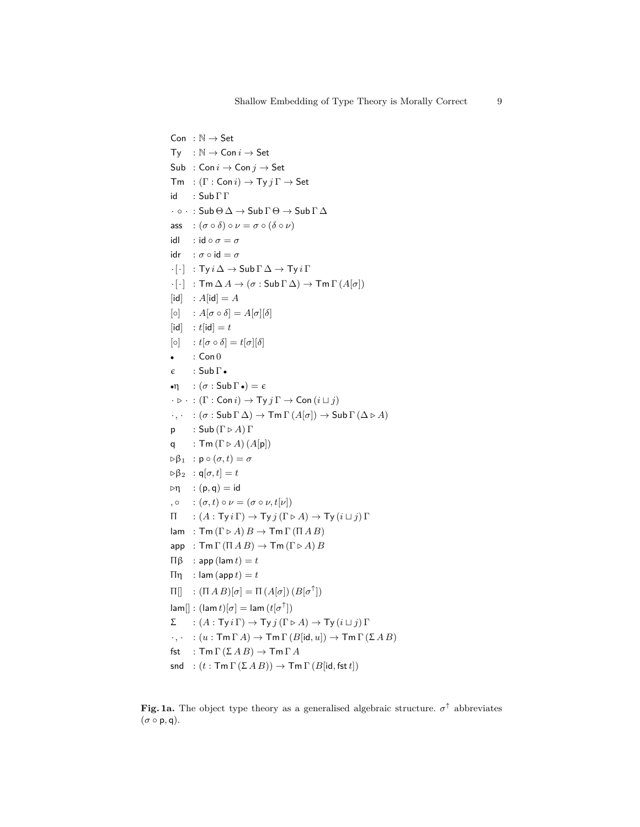```
Con : N → Set
Ty : N → Con i → Set
Sub : Con i \rightarrow Con j \rightarrow Set
\mathsf{Tm} \quad : (\Gamma : \mathsf{Con} \, i) \to \mathsf{Ty} \, j \, \Gamma \to \mathsf{Set}id : Sub \Gamma \Gamma· ◦ · : Sub Θ ∆ → Sub Γ Θ → Sub Γ ∆
ass : (\sigma \circ \delta) \circ \nu = \sigma \circ (\delta \circ \nu)idl : id \circ \sigma = \sigmaidr : \sigma \circ id = \sigma·[·] : Ty i ∆ → Sub Γ ∆ → Ty i Γ
\cdot \cdot \cdot[·] : \mathsf{Tm} \Delta A \rightarrow (\sigma : \mathsf{Sub} \Gamma \Delta) \rightarrow \mathsf{Tm} \Gamma (A[\sigma])\begin{bmatrix} \mathsf{id} \end{bmatrix} : A[\mathsf{id}] = A[ \circ ] : A[\sigma \circ \delta] = A[\sigma][\delta][id] : t[id] = t[ \circ ] : t[\sigma \circ \delta] = t[\sigma][\delta]• : Con 0
ϵ : Sub Γ •
•η : (σ : Sub Γ •) = ϵ
· ▷ · : (Γ : Con i) → Ty j Γ → Con (i ⊔ j)
\cdot, \cdot : (\sigma : \mathsf{Sub} \Gamma \Delta) \rightarrow \mathsf{Tm} \Gamma (A[\sigma]) \rightarrow \mathsf{Sub} \Gamma (\Delta \triangleright A)p : Sub (Γ ▷ A) Γ
q : \textsf{Tm}(\Gamma \triangleright A) (A[\textbf{p}])\rhoβ<sub>1</sub> : p \circ (σ, t) = σ
\rhoβ<sub>2</sub> : q[σ, t] = t
▷η : (p, q) = id
, \circ : (\sigma, t) \circ \nu = (\sigma \circ \nu, t[\nu])Π : (A : Ty i Γ) → Ty j (Γ ▷ A) → Ty (i ⊔ j) Γ
lam : \textsf{Tm} (\Gamma \triangleright A) B \to \textsf{Tm} \Gamma (\Pi A B)app : Tm \Gamma (\Pi AB) \rightarrow Tm (\Gamma \triangleright A) BΠβ : app (lam t) = t
Πη : lam (app t) = t
 \Pi<sup>[</sup>] : (\Pi AB)[\sigma] = \Pi(A[\sigma])(B[\sigma^{\top}])|\mathsf{a}\mathsf{m}| : (\mathsf{a}\mathsf{m}\,t)[\sigma] = \mathsf{a}\mathsf{m}\,(t[\sigma^\top])Σ : (A : Ty i Γ) → Ty j (Γ ▷ A) → Ty (i ⊔ j) Γ
\cdot, \cdot : (u : \mathsf{Tm} \Gamma(A) \to \mathsf{Tm} \Gamma(B[\mathsf{id}, u]) \to \mathsf{Tm} \Gamma(\Sigma A B)fst : \text{Tr } \Gamma(\Sigma AB) \to \text{Tr } \Gamma A\mathsf{snd} : (t : \mathsf{Tm} \Gamma(\Sigma \land B)) \to \mathsf{Tm} \Gamma(B[\mathsf{id}, \mathsf{fst} \, t])
```
<span id="page-9-0"></span>**Fig. 1a.** The object type theory as a generalised algebraic structure. *σ ↑* abbreviates  $(\sigma \circ p, q)$ .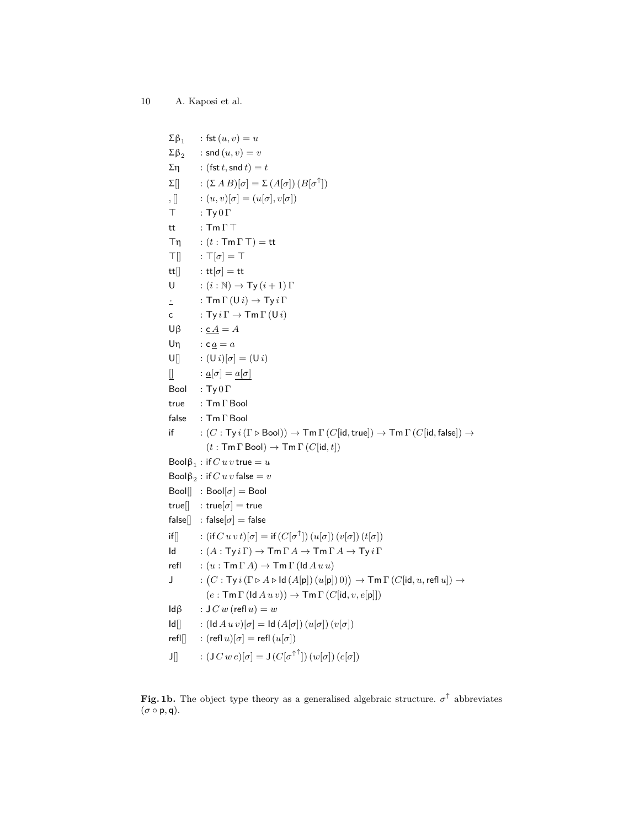```
Σβ_1: fst (u, v) = uΣβ_2: snd (u, v) = vΣη : (fstt,snd t) = t
\Sigma[] \qquad : (\Sigma AB)[\sigma] = \Sigma (A[\sigma])(B[\sigma^{\top}]), [ : (u, v)[\sigma] = (u[\sigma], v[\sigma])⊤ : Ty 0 Γ
tt : Tm Γ ⊤
⊤η : (t : Tm Γ ⊤) = tt
⊤[] : ⊤[σ] = ⊤
tt[] : tt[\sigma] = tt
U : (i : \mathbb{N}) \rightarrow \mathsf{Ty} (i+1) \Gamma· : Tm Γ (U i) → Ty i Γ
c : Ty i \Gamma \rightarrow \text{Tm} \Gamma(Ui)U\beta : c A = AUη : c \underline{a} = aU[\] : (U i)[\sigma] = (U i)\underline{\mathbf{a}}[\sigma] = a[\sigma]Bool : Ty 0 Γ
true : Tm Γ Bool
false : Tm Γ Bool
if :(C : Ty \text{ } i (\Gamma \triangleright \text{Bool})) \rightarrow \text{Tm } \Gamma(C[\text{id}, \text{true}]) \rightarrow \text{Tm } \Gamma(C[\text{id}, \text{false}]) \rightarrow(t : \mathsf{Tm} \Gamma \mathsf{Bool}) \to \mathsf{Tm} \Gamma(C[\mathsf{id}, t])\mathsf{Bool}\beta_1: \mathsf{if} \, C \, u \, v true =u\mathsf{Bool}\beta_2: \mathsf{if}\, C\, u\, v\, \mathsf{false} = vBool : Bool[\sigma] = Booltrue[] : true[\sigma] = true
false[] : false[\sigma] = false
\text{if}[\left| \begin{array}{c} \end{array} \right| : (\text{if } C \, u \, v \, t)\left| \sigma \right| = \text{if } \left( C[\sigma^\uparrow] \right) \left( u[\sigma] \right) \left( v[\sigma] \right) \left( t[\sigma] \right)Id :(A : Ty \, i\Gamma) \rightarrow \mathsf{Tm}\,\Gamma\,A \rightarrow \mathsf{Tm}\,\Gamma\,A \rightarrow \mathsf{Ty}\, i\,\Gammarefl : (u : \mathsf{Tm} \Gamma A) \rightarrow \mathsf{Tm} \Gamma (\mathsf{Id} A u u)\mathsf{J} :
                 \left(C:{\mathsf {Ty}\,} i\,({\Gamma}\triangleright A\triangleright {\mathsf{Id}\,} (A[{\mathsf{p}}])\,(u[{\mathsf{p}}])\,0)\right)\to {\mathsf {Tm}\,} \Gamma\left(C[{\mathsf{id}},u,{\mathsf{refl}}\,u]\right)\to(e : \textsf{Tm}\,\Gamma\,(\textsf{Id}\, A\,u\,v)) \rightarrow \textsf{Tm}\,\Gamma\,(C[\textsf{id}, v, e[\textsf{p}]])Idβ : J C w (refl u) = w\mathsf{Id}[] \qquad : (\mathsf{Id}\, A\, u\, v)[\sigma] = \mathsf{Id}\, (A[\sigma])(\, (u[\sigma])\, (v[\sigma])refl[] : (refl u)[\sigma] = refl (u[\sigma])
J[] : (J C w e)[\sigma] = J (C[\sigma^{\uparrow \uparrow}]) (w[\sigma]) (e[\sigma])
```
<span id="page-10-0"></span>**Fig. 1b.** The object type theory as a generalised algebraic structure.  $\sigma^{\uparrow}$  abbreviates  $(\sigma \circ p, q)$ .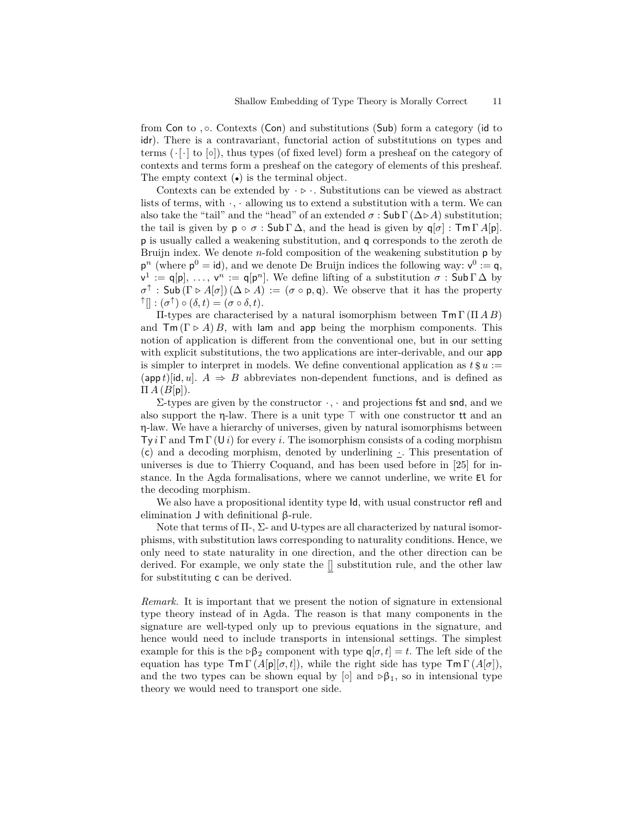from Con to ,  $\circ$ . Contexts (Con) and substitutions (Sub) form a category (id to idr). There is a contravariant, functorial action of substitutions on types and terms (*·*[*·*] to [*◦*]), thus types (of fixed level) form a presheaf on the category of contexts and terms form a presheaf on the category of elements of this presheaf. The empty context (*•*) is the terminal object.

Contexts can be extended by  $\cdot \triangleright \cdot$ . Substitutions can be viewed as abstract lists of terms, with  $\cdot$ ,  $\cdot$  allowing us to extend a substitution with a term. We can also take the "tail" and the "head" of an extended  $\sigma$ : Sub  $\Gamma(\Delta \triangleright A)$  substitution; the tail is given by  $p \circ \sigma : Sub \Gamma \Delta$ , and the head is given by  $q[\sigma] : Tm \Gamma A[p]$ . p is usually called a weakening substitution, and q corresponds to the zeroth de Bruijn index. We denote *n*-fold composition of the weakening substitution p by  $p^n$  (where  $p^0 = id$ ), and we denote De Bruijn indices the following way:  $v^0 := q$ ,  $v^1 := q[p], \ldots, v^n := q[p^n]$ . We define lifting of a substitution  $\sigma : Sub \Gamma \Delta$  by  $\sigma^{\uparrow}$ : Sub (Γ *⊳ A*[ $\sigma$ ]) ( $\Delta \triangleright A$ ) := ( $\sigma \circ p$ , q). We observe that it has the property  $\uparrow$   $\lbrack\lbrack$  :  $(\sigma$ <sup> $\uparrow$ </sup>  $) \circ (\delta, t) = (\sigma \circ \delta, t).$ 

Π-types are characterised by a natural isomorphism between Tm Γ (Π *A B*) and  $\textsf{Tr} \left( \Gamma \triangleright A \right) B$ , with lam and app being the morphism components. This notion of application is different from the conventional one, but in our setting with explicit substitutions, the two applications are inter-derivable, and our app is simpler to interpret in models. We define conventional application as  $t \, \mathcal{S} \, u :=$  $(\textsf{app } t)[\textsf{id}, u]$ .  $A \Rightarrow B$  abbreviates non-dependent functions, and is defined as  $\Pi A (B[\mathsf{p}]).$ 

Σ-types are given by the constructor *·, ·* and projections fst and snd, and we also support the η-law. There is a unit type *⊤* with one constructor tt and an η-law. We have a hierarchy of universes, given by natural isomorphisms between Ty *i* Γ and Tm Γ (U*i*) for every *i*. The isomorphism consists of a coding morphism (c) and a decoding morphism, denoted by underlining *·*. This presentation of universes is due to Thierry Coquand, and has been used before in [\[25](#page-31-14)] for instance. In the Agda formalisations, where we cannot underline, we write El for the decoding morphism.

We also have a propositional identity type Id, with usual constructor refl and elimination J with definitional β-rule.

Note that terms of  $\Pi$ -,  $\Sigma$ - and U-types are all characterized by natural isomorphisms, with substitution laws corresponding to naturality conditions. Hence, we only need to state naturality in one direction, and the other direction can be derived. For example, we only state the [] substitution rule, and the other law for substituting c can be derived.

*Remark.* It is important that we present the notion of signature in extensional type theory instead of in Agda. The reason is that many components in the signature are well-typed only up to previous equations in the signature, and hence would need to include transports in intensional settings. The simplest example for this is the  $\triangleright$  $\beta_2$  component with type  $q[\sigma, t] = t$ . The left side of the equation has type  $\text{Im }\Gamma(A[\mathbf{p}][\sigma,t])$ , while the right side has type  $\text{Im }\Gamma(A[\sigma])$ , and the two types can be shown equal by  $\lceil \circ \rceil$  and  $\rceil \circ \beta_1$ , so in intensional type theory we would need to transport one side.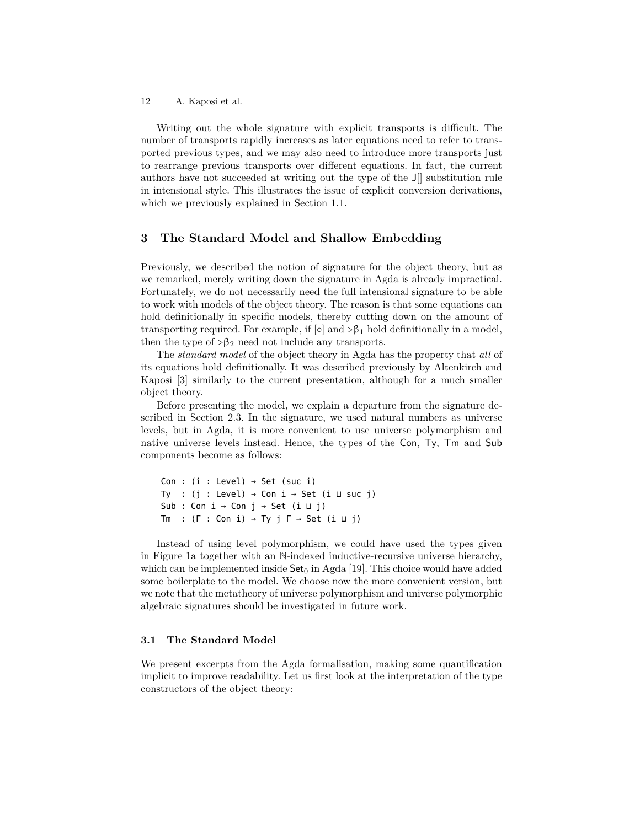Writing out the whole signature with explicit transports is difficult. The number of transports rapidly increases as later equations need to refer to transported previous types, and we may also need to introduce more transports just to rearrange previous transports over different equations. In fact, the current authors have not succeeded at writing out the type of the J[] substitution rule in intensional style. This illustrates the issue of explicit conversion derivations, which we previously explained in Section [1.1](#page-2-0).

# <span id="page-12-0"></span>**3 The Standard Model and Shallow Embedding**

Previously, we described the notion of signature for the object theory, but as we remarked, merely writing down the signature in Agda is already impractical. Fortunately, we do not necessarily need the full intensional signature to be able to work with models of the object theory. The reason is that some equations can hold definitionally in specific models, thereby cutting down on the amount of transporting required. For example, if  $\lceil \circ \rceil$  and  $\triangleright \beta_1$  hold definitionally in a model, then the type of  $\beta_2$  need not include any transports.

The *standard model* of the object theory in Agda has the property that *all* of its equations hold definitionally. It was described previously by Altenkirch and Kaposi [\[3](#page-30-8)] similarly to the current presentation, although for a much smaller object theory.

Before presenting the model, we explain a departure from the signature described in Section [2.3.](#page-8-0) In the signature, we used natural numbers as universe levels, but in Agda, it is more convenient to use universe polymorphism and native universe levels instead. Hence, the types of the Con, Ty, Tm and Sub components become as follows:

Con : (i : Level)  $\rightarrow$  Set (suc i) Ty : (j : Level) → Con i → Set (i ⊔ suc j) Sub : Con i → Con j → Set (i ⊔ j) Tm : (Γ : Con i) → Ty j  $\Gamma \rightarrow$  Set (i  $\sqcup$  j)

Instead of using level polymorphism, we could have used the types given in Figure [1a](#page-9-0) together with an N-indexed inductive-recursive universe hierarchy, which can be implemented inside  $\textsf{Set}_0$  in Agda [\[19](#page-31-15)]. This choice would have added some boilerplate to the model. We choose now the more convenient version, but we note that the metatheory of universe polymorphism and universe polymorphic algebraic signatures should be investigated in future work.

#### **3.1 The Standard Model**

We present excerpts from the Agda formalisation, making some quantification implicit to improve readability. Let us first look at the interpretation of the type constructors of the object theory: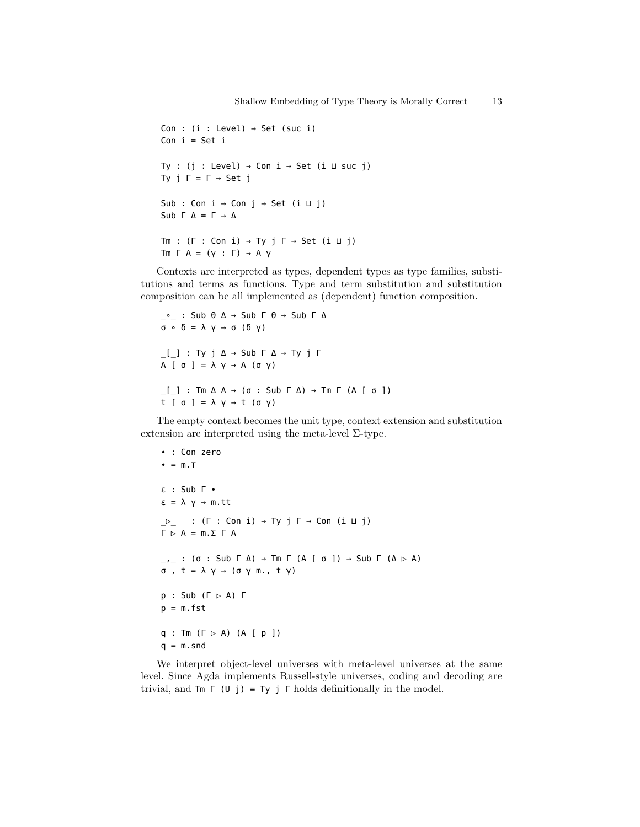Con : (i : Level)  $\rightarrow$  Set (suc i) Con  $i = Set i$ Ty : (j : Level) → Con i → Set (i ⊔ suc j) Ty j Γ = Γ → Set j Sub : Con i → Con j → Set (i ⊔ j) Sub Γ Δ = Γ → Δ Tm : (Γ : Con i) → Ty j Γ → Set (i ⊔ j) Tm Γ A = (γ : Γ) → A γ

Contexts are interpreted as types, dependent types as type families, substitutions and terms as functions. Type and term substitution and substitution composition can be all implemented as (dependent) function composition.

```
_∘_ : Sub Θ Δ → Sub Γ Θ → Sub Γ Δ
σ ∘ δ = λ γ → σ (δ γ)
_[_] : Ty j Δ → Sub Γ Δ → Ty j Γ
A [ \sigma ] = \lambda \gamma \rightarrow A (\sigma \gamma)\_[] : Tm \Delta A \rightarrow (σ : Sub \Gamma \Delta) \rightarrow Tm \Gamma (A [ σ ])
t [ σ ] = λ γ → t (σ γ)
```
The empty context becomes the unit type, context extension and substitution extension are interpreted using the meta-level  $\Sigma$ -type.

```
∙ : Con zero
∙ = m.⊤
ε : Sub Γ ∙
ε = λ γ → m.tt
_▷_ : (Γ : Con i) → Ty j Γ → Con (i ⊔ j)
Γ ▷ A = m.Σ Γ A
_,_ : (σ : Sub Γ Δ) → Tm Γ (A [ σ ]) → Sub Γ (Δ ▷ A)
σ , t = λ γ → (σ γ m., t γ)
p : Sub (Γ ▷ A) Γ
p = m.fstq : Tm (Γ ▷ A) (A [ p ])
q = m.snd
```
We interpret object-level universes with meta-level universes at the same level. Since Agda implements Russell-style universes, coding and decoding are trivial, and  $\text{Im } \Gamma$  (U j) = Ty j  $\Gamma$  holds definitionally in the model.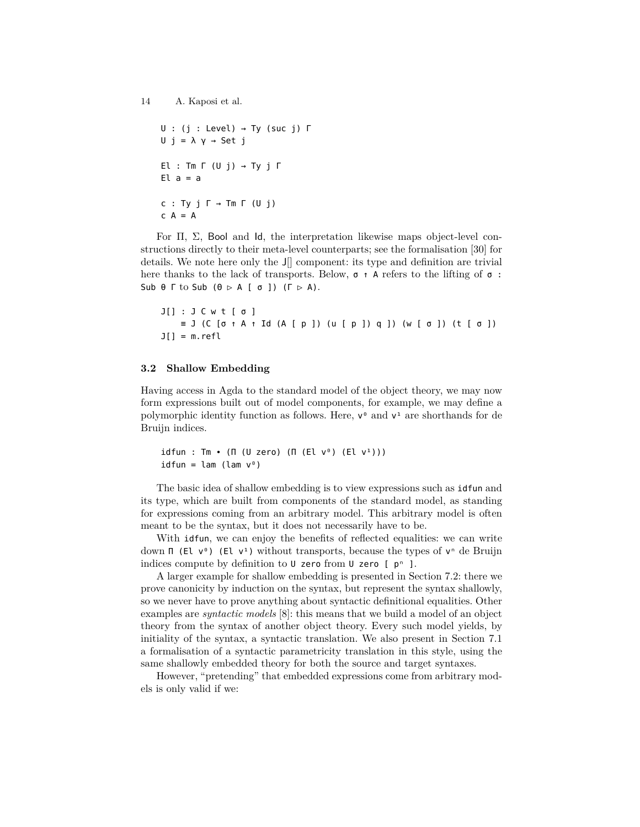```
14 A. Kaposi et al.
```
 $U : (j : Level) \rightarrow Ty$  (suc j) Γ U j =  $\lambda$   $\gamma$   $\rightarrow$  Set j El : Tm Γ (U j) → Ty j Γ El  $a = a$ c : Ty j Γ → Tm Γ (U j) c A = A

For Π, Σ, Bool and Id, the interpretation likewise maps object-level constructions directly to their meta-level counterparts; see the formalisation [\[30](#page-31-5)] for details. We note here only the J[] component: its type and definition are trivial here thanks to the lack of transports. Below,  $\sigma \tau$  A refers to the lifting of  $\sigma$ : Sub θ Γ to Sub  $(θ$   $\rhd$  A [ σ ]) (Γ  $\rhd$  A).

```
J[] : J C w t [ σ ]
   ≡ J (C [σ ↑ A ↑ Id (A [ p ]) (u [ p ]) q ]) (w [ σ ]) (t [ σ ])
J[] = m.refl
```
#### **3.2 Shallow Embedding**

Having access in Agda to the standard model of the object theory, we may now form expressions built out of model components, for example, we may define a polymorphic identity function as follows. Here,  $v^{\circ}$  and  $v^{\circ}$  are shorthands for de Bruijn indices.

```
idfun : Tm • (Π (U zero) (Π (El v\circ) (El v<sup>1</sup>)))
idfun = lam (lam v^{\circ})
```
The basic idea of shallow embedding is to view expressions such as idfun and its type, which are built from components of the standard model, as standing for expressions coming from an arbitrary model. This arbitrary model is often meant to be the syntax, but it does not necessarily have to be.

With idfun, we can enjoy the benefits of reflected equalities: we can write down Π (El v<sup>o</sup>) (El v<sup>1</sup>) without transports, because the types of v<sup>n</sup> de Bruijn indices compute by definition to  $U$  zero from  $U$  zero  $[$   $p<sup>n</sup>$   $]$ .

A larger example for shallow embedding is presented in Section [7.2](#page-24-0): there we prove canonicity by induction on the syntax, but represent the syntax shallowly, so we never have to prove anything about syntactic definitional equalities. Other examples are *syntactic models* [[8\]](#page-30-12): this means that we build a model of an object theory from the syntax of another object theory. Every such model yields, by initiality of the syntax, a syntactic translation. We also present in Section [7.1](#page-23-0) a formalisation of a syntactic parametricity translation in this style, using the same shallowly embedded theory for both the source and target syntaxes.

However, "pretending" that embedded expressions come from arbitrary models is only valid if we: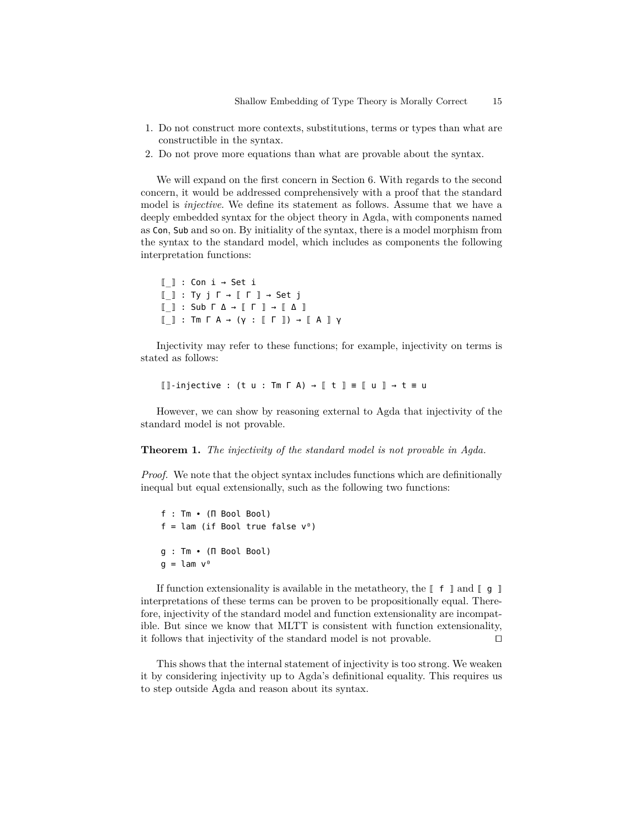- 1. Do not construct more contexts, substitutions, terms or types than what are constructible in the syntax.
- 2. Do not prove more equations than what are provable about the syntax.

We will expand on the first concern in Section [6](#page-21-0). With regards to the second concern, it would be addressed comprehensively with a proof that the standard model is *injective*. We define its statement as follows. Assume that we have a deeply embedded syntax for the object theory in Agda, with components named as Con, Sub and so on. By initiality of the syntax, there is a model morphism from the syntax to the standard model, which includes as components the following interpretation functions:

⟦\_⟧ : Con i → Set i ⟦\_⟧ : Ty j Γ → ⟦ Γ ⟧ → Set j ⟦\_⟧ : Sub Γ Δ → ⟦ Γ ⟧ → ⟦ Δ ⟧ ⟦\_⟧ : Tm Γ A → (γ : ⟦ Γ ⟧) → ⟦ A ⟧ γ

Injectivity may refer to these functions; for example, injectivity on terms is stated as follows:

⟦⟧-injective : (t u : Tm Γ A) → ⟦ t ⟧ ≡ ⟦ u ⟧ → t ≡ u

However, we can show by reasoning external to Agda that injectivity of the standard model is not provable.

<span id="page-15-0"></span>**Theorem 1.** *The injectivity of the standard model is not provable in Agda.*

*Proof.* We note that the object syntax includes functions which are definitionally inequal but equal extensionally, such as the following two functions:

f : Tm ∙ (Π Bool Bool)  $f = \text{lam}$  (if Bool true false  $v^{\circ}$ ) g : Tm ∙ (Π Bool Bool)  $g = \text{lam } v^{\circ}$ 

If function extensionality is available in the metatheory, the  $\llbracket \mathbf{f} \rrbracket$  and  $\llbracket \mathbf{q} \rrbracket$ interpretations of these terms can be proven to be propositionally equal. Therefore, injectivity of the standard model and function extensionality are incompatible. But since we know that MLTT is consistent with function extensionality, it follows that injectivity of the standard model is not provable. *⊓⊔*

This shows that the internal statement of injectivity is too strong. We weaken it by considering injectivity up to Agda's definitional equality. This requires us to step outside Agda and reason about its syntax.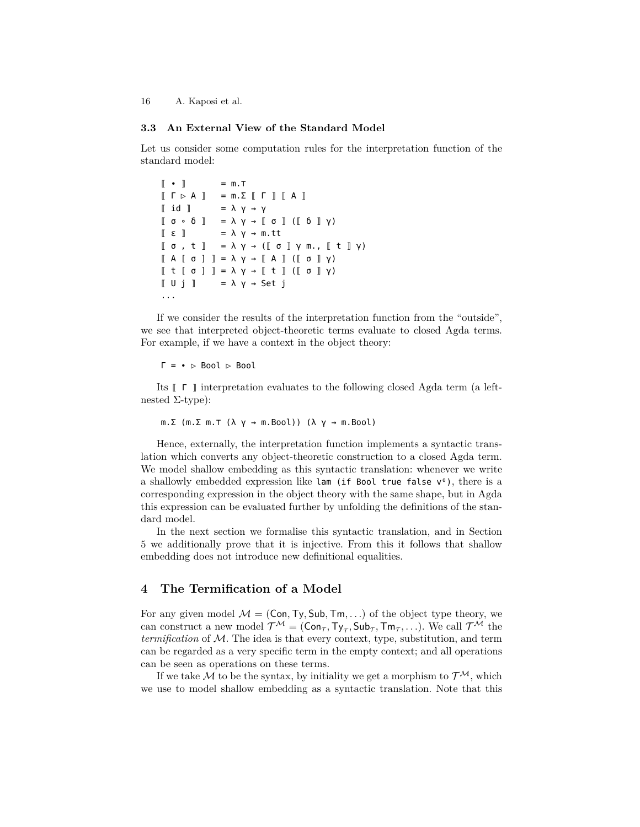#### **3.3 An External View of the Standard Model**

Let us consider some computation rules for the interpretation function of the standard model:

```
⟦ ∙ ⟧ = m.⊤
[[ \Gamma \rhd A]] = m. \Sigma [[ \Gamma]] [[ A]]⟦ id ⟧ = λ γ → γ
⟦ σ ∘ δ ⟧ = λ γ → ⟦ σ ⟧ (⟦ δ ⟧ γ)
[ \epsilon ] = \lambda \gamma \rightarrow m.t[[ \sigma , t ]] = \lambda \gamma \rightarrow ([[ \sigma ]] \gamma m., [ [ t ]] \gamma)[[ A [ \sigma ] ] = \lambda \gamma \rightarrow [[ A ]] ([ \sigma ] \gamma)[[t [\sigma]] = \lambda \gamma \rightarrow [[t]] ([\sigma]] \gamma)[[Uj]] = \lambda \gamma \rightarrow Set j...
```
If we consider the results of the interpretation function from the "outside", we see that interpreted object-theoretic terms evaluate to closed Agda terms. For example, if we have a context in the object theory:

#### Γ = ∙ ▷ Bool ▷ Bool

Its ⟦ Γ ⟧ interpretation evaluates to the following closed Agda term (a leftnested  $\Sigma$ -type):

m.Σ (m.Σ m.⊤ (λ γ → m.Bool)) (λ γ → m.Bool)

Hence, externally, the interpretation function implements a syntactic translation which converts any object-theoretic construction to a closed Agda term. We model shallow embedding as this syntactic translation: whenever we write a shallowly embedded expression like lam (if Bool true false  $v^{\circ}$ ), there is a corresponding expression in the object theory with the same shape, but in Agda this expression can be evaluated further by unfolding the definitions of the standard model.

In the next section we formalise this syntactic translation, and in Section [5](#page-18-0) we additionally prove that it is injective. From this it follows that shallow embedding does not introduce new definitional equalities.

# <span id="page-16-0"></span>**4 The Termification of a Model**

For any given model  $M = (Con, Ty, Sub, Tm, ...)$  of the object type theory, we can construct a new model  $\mathcal{T}^{\mathcal{M}} = (\mathsf{Con}_{\mathcal{T}}, \mathsf{Ty}_{\mathcal{T}}, \mathsf{Sub}_{\mathcal{T}}, \mathsf{Tm}_{\mathcal{T}}, \ldots)$ . We call  $\mathcal{T}^{\mathcal{M}}$  the *termification* of *M*. The idea is that every context, type, substitution, and term can be regarded as a very specific term in the empty context; and all operations can be seen as operations on these terms.

If we take *M* to be the syntax, by initiality we get a morphism to  $\mathcal{T}^{\mathcal{M}}$ , which we use to model shallow embedding as a syntactic translation. Note that this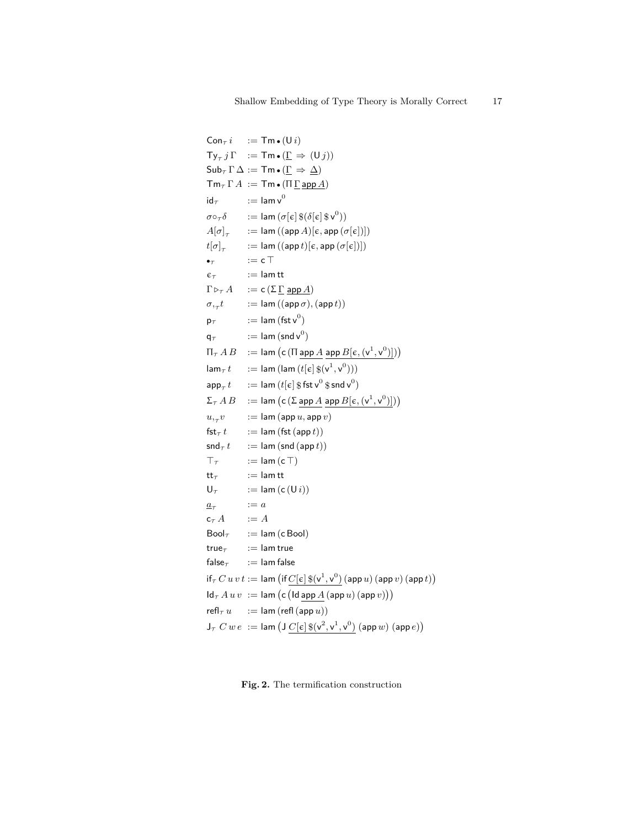```
Con_{\tau} i := Tm • (U i)
 \mathsf{Ty}_{\tau} j\Gamma := \mathsf{Tm} \cdot (\underline{\Gamma} \Rightarrow (\mathsf{U} j))Sub_{\tau} \Gamma \Delta := \mathsf{Tm} \cdot (\underline{\Gamma} \Rightarrow \underline{\Delta})\mathsf{Tm}_{\tau}\Gamma A := \mathsf{Tm} \cdot (\Pi \Gamma \mathsf{app}\, A)id_{\tau} := lam v<sup>0</sup>
 \sigma°\sigma \sigma \delta := lam (\sigma[\epsilon] \, \text{\$}(\delta[\epsilon] \, \text{\$} \, \text{v}^0))A[\sigma]_{\tau} := lam ((app A)[\epsilon, app (\sigma[\epsilon])])
t[\sigma]_{\tau}:= lam ((\textsf{app}\, t)[\epsilon, \textsf{app}\, (\sigma[\epsilon])])•T := c ⊤
\varepsilon_{\mathcal{T}} := lam tt
Γ \triangleright_{τ} A := c (ΣΓ app A)
\sigma, \tauτ
                    t := \text{lam}((\text{app }\sigma),(\text{app }t))p_{\tau} \qquad := lam (fst v<sup>0</sup>)
 \mathsf{q}_{\tau} \qquad \qquad := \mathsf{lam}\,(\mathsf{snd}\,\mathsf{v}^0)\Pi_{\tau} AB := lam (c (\Pi \frac{\text{app } A}{\text{app } B[\epsilon, (\mathsf{v}^1, \mathsf{v}^0)])})\mathsf{lam}_{\mathcal{T}} \, t \quad \mathrel{\mathop:}= \mathsf{lam} \, (\mathsf{lam} \, (t[\varepsilon] \, \$ ({\mathsf{v}}^1, {\mathsf{v}}^0)))\mathsf{app}_\tau\,t \quad \, := \mathsf{lam}\,(t[\epsilon]\, \$\, \mathsf{fst}\, \mathsf{v}^0\, \$\, \mathsf{snd}\, \mathsf{v}^0)\Sigma_{\mathcal{T}} \, A \, B \quad := \textsf{lam} \, \big( \textsf{c} \, (\Sigma \, \textsf{app} \, A \, \, \textsf{app} \, B[\epsilon, (\textsf{v}^1, \textsf{v}^0)] ) \big)u, \tau vv = \text{lam} (\text{app } u, \text{app } v)fst_{\tau} t := lam (fst (app t))
\operatorname{snd}_{\tau} t := lam (snd (app t))
⊤T := lam (c ⊤)
tt_\tau := lam tt
U_{\tau} := lam (c (U i))
a_{\tau}:= a
c_{\tau} A := A
Bool<sub>T</sub> := lam (c Bool)true_{\tau} := lam true
false<sub>\tau</sub> :=lam false
 \mathsf{if}_{\tau}\, C\, u\, v\, t := \mathsf{Iam}\left(\mathsf{if}\, C[\epsilon]\, \$(\mathsf{v}^1,\mathsf{v}^0]\, (\mathsf{app}\, u)\, (\mathsf{app}\, v)\, (\mathsf{app}\, t)\right)\mathsf{Id}_{\mathcal{T}}\, A\, u\, v\;:=\mathsf{lam}\left(\mathsf{c}\left(\mathsf{Id}\, \mathsf{app}\, A\, (\mathsf{app}\, u)\, (\mathsf{app}\, v)\right)\right)refl_{\tau} u := lam (refl (app u))
 \mathsf{J}_{\mathcal{T}} \; C \, w \, e \; := \mathsf{lam} \left( \mathsf{J} \; \underline{C}[\epsilon] \, \$_{V}^2, \mathsf{v}^1, \mathsf{v}^0 \right) \left( \mathsf{app} \, w \right) \left( \mathsf{app} \, e \right) \right)
```
<span id="page-17-0"></span>**Fig. 2.** The termification construction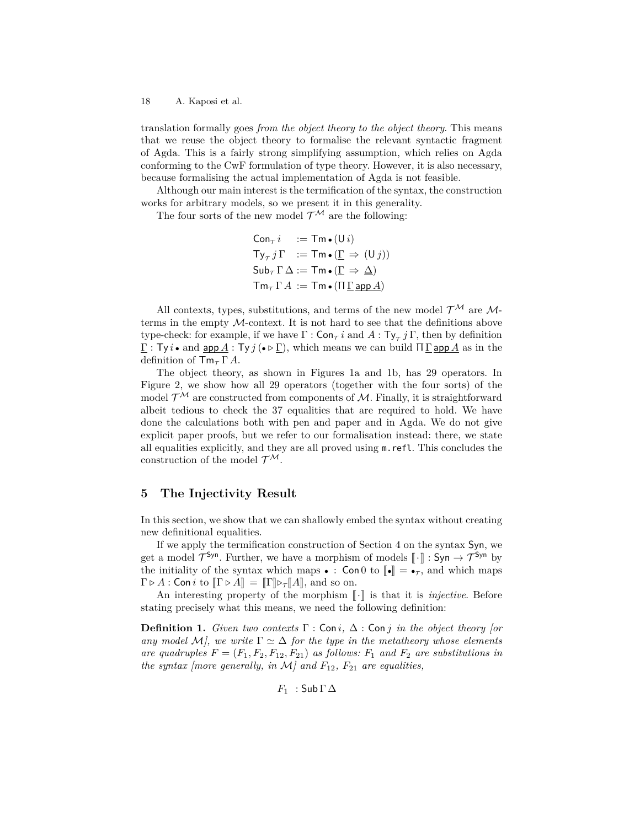translation formally goes *from the object theory to the object theory*. This means that we reuse the object theory to formalise the relevant syntactic fragment of Agda. This is a fairly strong simplifying assumption, which relies on Agda conforming to the CwF formulation of type theory. However, it is also necessary, because formalising the actual implementation of Agda is not feasible.

Although our main interest is the termification of the syntax, the construction works for arbitrary models, so we present it in this generality.

The four sorts of the new model  $\mathcal{T}^{\mathcal{M}}$  are the following:

```
Con_{\tau} i := \text{Im} \cdot (U_i)\mathrm{Ty}_{\tau} j\Gamma := \mathrm{Tm} \cdot (\underline{\Gamma} \Rightarrow (\mathrm{U} j))Sub_{\tau} \Gamma \Delta := \mathsf{Tm} \cdot (\Gamma \Rightarrow \Delta)\mathsf{Tm}_{\tau}\Gamma A := \mathsf{Tm} \cdot (\Pi \Gamma \mathsf{app}\, A)
```
All contexts, types, substitutions, and terms of the new model  $\mathcal{T}^{\mathcal{M}}$  are  $\mathcal{M}$ terms in the empty *M*-context. It is not hard to see that the definitions above type-check: for example, if we have  $\Gamma$  :  $\text{Con}_{\tau} i$  and  $A : \text{Ty}_{\tau} j \Gamma$ , then by definition  $\Gamma$ : Ty *i* • and app  $A$ : Ty  $j$  (•  $\triangleright \Gamma$ ), which means we can build  $\Pi \Gamma$  app  $A$  as in the definition of  $\mathsf{Tm}_{\tau}\Gamma A$ .

The object theory, as shown in Figures [1a](#page-9-0) and [1b,](#page-10-0) has 29 operators. In Figure [2](#page-17-0), we show how all 29 operators (together with the four sorts) of the model  $\mathcal{T}^{\mathcal{M}}$  are constructed from components of  $\mathcal{M}$ . Finally, it is straightforward albeit tedious to check the 37 equalities that are required to hold. We have done the calculations both with pen and paper and in Agda. We do not give explicit paper proofs, but we refer to our formalisation instead: there, we state all equalities explicitly, and they are all proved using m.refl. This concludes the construction of the model  $\mathcal{T}^{\mathcal{M}}$ .

# <span id="page-18-0"></span>**5 The Injectivity Result**

In this section, we show that we can shallowly embed the syntax without creating new definitional equalities.

If we apply the termification construction of Section [4](#page-16-0) on the syntax Syn, we get a model  $\mathcal{T}^{\mathsf{Syn}}$ . Further, we have a morphism of models  $\llbracket \cdot \rrbracket$  :  $\mathsf{Syn} \to \mathcal{T}^{\mathsf{Syn}}$  by the initiality of the syntax which maps • : Con 0 to  $\llbracket \bullet \rrbracket = \bullet_T$ , and which maps  $\Gamma \triangleright A : \text{Con } i$  to  $\llbracket \Gamma \triangleright A \rrbracket = \llbracket \Gamma \rrbracket \triangleright_{\tau} \llbracket A \rrbracket$ , and so on.

An interesting property of the morphism  $\llbracket \cdot \rrbracket$  is that it is *injective*. Before stating precisely what this means, we need the following definition:

**Definition 1.** *Given two contexts* Γ : Con *i,* ∆ : Con *j in the object theory [or any model M], we write*  $\Gamma \simeq \Delta$  *for the type in the metatheory whose elements* are quadruples  $F = (F_1, F_2, F_{12}, F_{21})$  *as follows:*  $F_1$  *and*  $F_2$  *are substitutions in the syntax [more generally, in*  $\mathcal{M}$ *] and*  $F_{12}$ *,*  $F_{21}$  *are equalities,*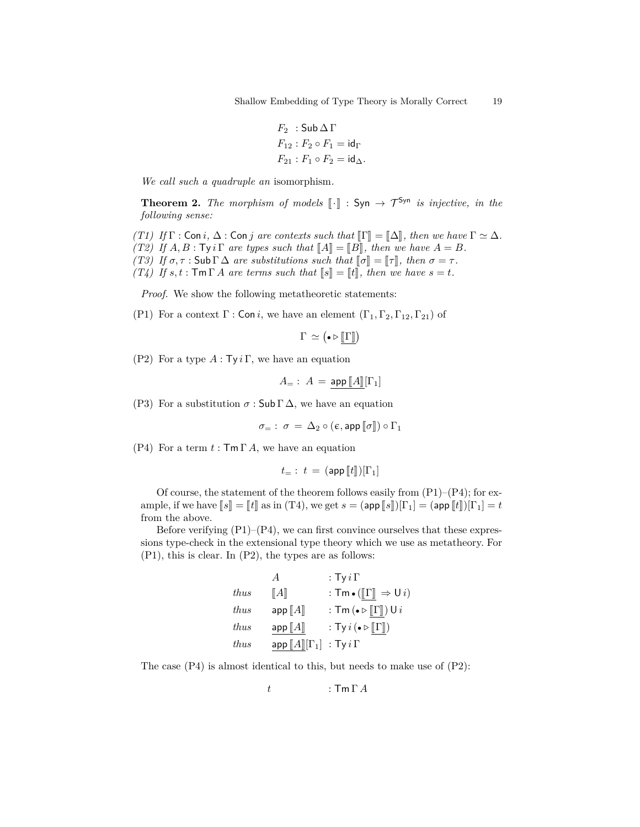$$
F_2 : \mathsf{Sub} \,\Delta \,\Gamma
$$
  

$$
F_{12} : F_2 \circ F_1 = \mathsf{id}_{\Gamma}
$$
  

$$
F_{21} : F_1 \circ F_2 = \mathsf{id}_{\Delta}.
$$

*We call such a quadruple an* isomorphism*.*

<span id="page-19-5"></span>**Theorem 2.** *The morphism of models*  $\lceil \cdot \rceil$  : Syn  $\rightarrow$   $\mathcal{T}^{Syn}$  *is injective, in the following sense:*

*(T1) If* Γ : Con *<sup>i</sup>,* ∆ : Con *<sup>j</sup> are contexts such that* <sup>J</sup>Γ<sup>K</sup> <sup>=</sup> <sup>J</sup>∆K*, then we have* <sup>Γ</sup> *<sup>≃</sup>* <sup>∆</sup>*.*

- *(T2) If*  $A, B: \text{Ty}$ *i*  $\Gamma$  *are types such that*  $\llbracket A \rrbracket = \llbracket B \rrbracket$ *, then we have*  $A = B$ *.*
- *(T3) If*  $\sigma$ ,  $\tau$  : Sub  $\Gamma \Delta$  *are substitutions such that*  $\llbracket \sigma \rrbracket = \llbracket \tau \rrbracket$ , *then*  $\sigma = \tau$ .
- <span id="page-19-2"></span>*(T4) If s, t* :  $\text{Im } \Gamma A$  *are terms such that*  $[s] = [t]$ *, then we have*  $s = t$ *.*

*Proof.* We show the following metatheoretic statements:

<span id="page-19-0"></span>(P1) For a context  $\Gamma$ : Con *i*, we have an element  $(\Gamma_1, \Gamma_2, \Gamma_{12}, \Gamma_{21})$  of

 $\Gamma \simeq (\bullet \triangleright \underline{[\![ \Gamma ]\!]})$ 

<span id="page-19-3"></span>(P2) For a type *A* : Ty *i* Γ, we have an equation

$$
A_{=} : A = \underline{\text{app}}[[A]][\Gamma_1]
$$

<span id="page-19-4"></span>(P3) For a substitution  $\sigma$ : Sub  $\Gamma \Delta$ , we have an equation

$$
\sigma_{\equiv}:\; \sigma\,=\,\Delta_2\circ(\epsilon, \mathsf{app}\, [\![\sigma]\!])\circ\Gamma_1
$$

<span id="page-19-1"></span>(P4) For a term *t* : Tm Γ *A*, we have an equation

$$
t_{=}: t = (\mathsf{app}\, [\![t]\!])[\Gamma_1]
$$

Of course, the statement of the theorem follows easily from  $(P1)$ – $(P4)$ ; for example, if we have  $\llbracket s \rrbracket = \llbracket t \rrbracket$  as in [\(T4\)](#page-19-2), we get  $s = (\text{app } \llbracket s \rrbracket)[\Gamma_1] = (\text{app } \llbracket t \rrbracket)[\Gamma_1] = t$ from the above.

Before verifying  $(P1)$ – $(P4)$ , we can first convince ourselves that these expressions type-check in the extensional type theory which we use as metatheory. For [\(P1\)](#page-19-0), this is clear. In [\(P2\)](#page-19-3), the types are as follows:

|      | А                                                                     | : $Ty i \Gamma$                                                                    |
|------|-----------------------------------------------------------------------|------------------------------------------------------------------------------------|
| thus | $\llbracket A \rrbracket$                                             | : $\mathsf{Tm} \bullet (\llbracket \Gamma \rrbracket \Rightarrow \mathsf{U} \, i)$ |
| thus | app[[A]]                                                              | : Tm ( $\bullet \triangleright \llbracket \Gamma \rrbracket$ ) U $i$               |
| thus | app[[A]]                                                              | : $\mathsf{Ty}\,i\,(\bullet\,\triangleright\,\llbracket\Gamma\rrbracket)$          |
| thus | $\mathsf{app}\left[\![A]\!](\Gamma_1\right]\;:\mathsf{Ty}\,i\,\Gamma$ |                                                                                    |
|      |                                                                       |                                                                                    |

The case [\(P4\)](#page-19-1) is almost identical to this, but needs to make use of [\(P2\)](#page-19-3):

$$
t \hspace{1.5cm} : \mathsf{Tm}\,\Gamma\,A
$$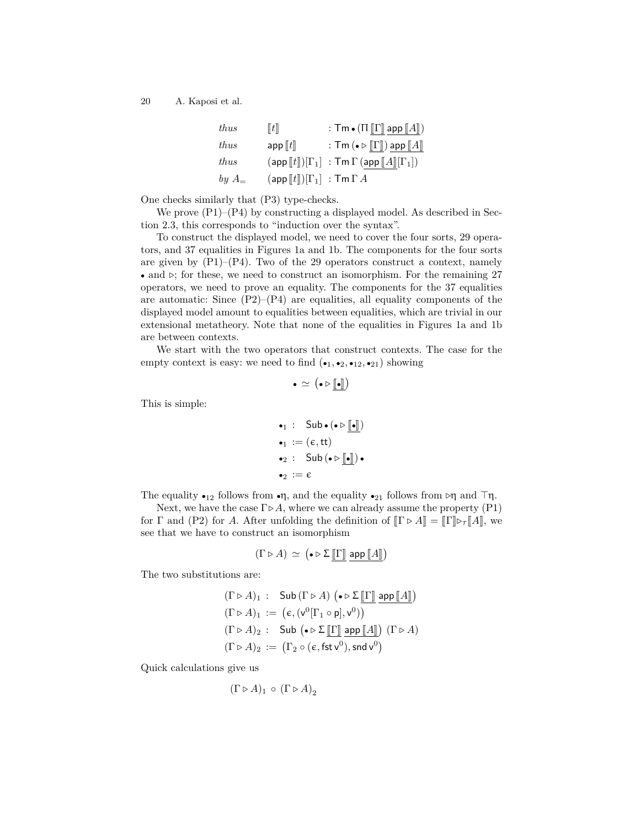| thus       | t                                                                   | : $\mathsf{Tm}\bullet(\Pi\llbracket \Gamma\rrbracket$ app $\llbracket A\rrbracket)$                       |
|------------|---------------------------------------------------------------------|-----------------------------------------------------------------------------------------------------------|
| thus       | $\mathsf{app}\left[\![t]\! \right]$                                 | : $\mathsf{Tm}\left(\bullet\triangleright\llbracket \Gamma\rrbracket\right)$ app $\llbracket A\rrbracket$ |
| thus       |                                                                     | $(\textsf{app}\, [\![t]\!])[\Gamma_1]$ : $\textsf{Tm}\, \Gamma$ $(\textsf{app}\, [\![A]\!][\Gamma_1])$    |
| by $A_{=}$ | $(\textsf{app}\, [\![t]\!])[\Gamma_1]$ : $\textsf{Tm}\, \Gamma\, A$ |                                                                                                           |
|            |                                                                     |                                                                                                           |

One checks similarly that [\(P3\)](#page-19-4) type-checks.

We prove  $(P1)$ – $(P4)$  by constructing a displayed model. As described in Section [2.3,](#page-8-0) this corresponds to "induction over the syntax".

To construct the displayed model, we need to cover the four sorts, 29 operators, and 37 equalities in Figures [1a](#page-9-0) and [1b.](#page-10-0) The components for the four sorts are given by  $(P1)$ – $(P4)$ . Two of the 29 operators construct a context, namely • and  $▶$ ; for these, we need to construct an isomorphism. For the remaining 27 operators, we need to prove an equality. The components for the 37 equalities are automatic: Since  $(P2)$ – $(P4)$  are equalities, all equality components of the displayed model amount to equalities between equalities, which are trivial in our extensional metatheory. Note that none of the equalities in Figures [1a](#page-9-0) and [1b](#page-10-0) are between contexts.

We start with the two operators that construct contexts. The case for the empty context is easy: we need to find  $(\bullet_1, \bullet_2, \bullet_{12}, \bullet_{21})$  showing

$$
\bullet\,\simeq\,\bigl(\bullet\,\triangleright\,\underline{[\![\bullet]\!]}\bigr)
$$

This is simple:

\n- $$
\bullet_1
$$
: Sub  $\bullet$   $(\bullet \triangleright [\![\bullet]\!])$
\n- $\bullet_1 := (\varepsilon, \text{tt})$
\n- $\bullet_2$ : Sub  $(\bullet \triangleright [\![\bullet]\!]) \bullet$
\n- $\bullet_2 := \varepsilon$
\n

The equality *•*<sup>12</sup> follows from *•*η, and the equality *•*<sup>21</sup> follows from *▷*η and *⊤*η.

Next, we have the case  $\Gamma \triangleright A$ , where we can already assume the property [\(P1\)](#page-19-0) for  $\Gamma$  and [\(P2\)](#page-19-3) for *A*. After unfolding the definition of  $\llbracket \Gamma \triangleright A \rrbracket = \llbracket \Gamma \rrbracket \triangleright_{\tau} \llbracket A \rrbracket$ , we see that we have to construct an isomorphism

$$
(\Gamma \triangleright A) \,\simeq\, \left(\bullet \triangleright \Sigma \,\underline{[\![ \Gamma ]\!]}\,\, \underset{\scriptstyle{\text{app}\, [\![ A ]\!]}}{\text{app}\, [\![ A ]\!]}\right)
$$

The two substitutions are:

$$
(\Gamma \triangleright A)_1 : \text{Sub } (\Gamma \triangleright A) \, (\bullet \triangleright \Sigma \, \text{[[} \Gamma \text{] } \text{app } \text{[[} A \text{]]})
$$
\n
$$
(\Gamma \triangleright A)_1 := (\epsilon, (\mathbf{v}^0 [\Gamma_1 \circ \mathbf{p}], \mathbf{v}^0))
$$
\n
$$
(\Gamma \triangleright A)_2 : \text{Sub } (\bullet \triangleright \Sigma \, \text{[[} \Gamma \text{] } \text{app } \text{[[} A \text{]]}) \, (\Gamma \triangleright A)
$$
\n
$$
(\Gamma \triangleright A)_2 := (\Gamma_2 \circ (\epsilon, \text{fst } \mathbf{v}^0), \text{snd } \mathbf{v}^0)
$$

Quick calculations give us

$$
(\Gamma \triangleright A)_1 \circ (\Gamma \triangleright A)_2
$$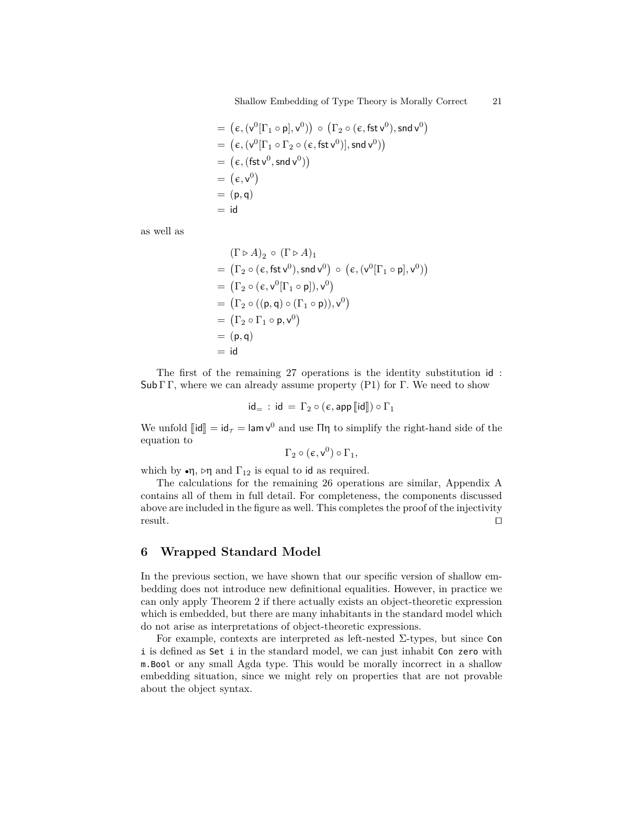Shallow Embedding of Type Theory is Morally Correct 21

$$
= (\varepsilon, (v^0[\Gamma_1 \circ p], v^0)) \circ (\Gamma_2 \circ (\varepsilon, \text{fst } v^0), \text{snd } v^0)
$$
  
\n
$$
= (\varepsilon, (v^0[\Gamma_1 \circ \Gamma_2 \circ (\varepsilon, \text{fst } v^0)], \text{snd } v^0))
$$
  
\n
$$
= (\varepsilon, (\text{fst } v^0, \text{snd } v^0))
$$
  
\n
$$
= (\varepsilon, v^0)
$$
  
\n
$$
= (\rho, q)
$$
  
\n
$$
= id
$$

as well as

$$
(\Gamma \triangleright A)_2 \circ (\Gamma \triangleright A)_1
$$
  
= (\Gamma\_2 \circ (\epsilon, \text{fst} \mathbf{v}^0), \text{snd} \mathbf{v}^0) \circ (\epsilon, (\mathbf{v}^0 [\Gamma\_1 \circ \mathbf{p}], \mathbf{v}^0))  
= (\Gamma\_2 \circ (\epsilon, \mathbf{v}^0 [\Gamma\_1 \circ \mathbf{p}], \mathbf{v}^0)  
= (\Gamma\_2 \circ ((\mathbf{p}, \mathbf{q}) \circ (\Gamma\_1 \circ \mathbf{p})), \mathbf{v}^0)  
= (\Gamma\_2 \circ \Gamma\_1 \circ \mathbf{p}, \mathbf{v}^0)  
= (\mathbf{p}, \mathbf{q})  
= id

The first of the remaining 27 operations is the identity substitution id : Sub  $\Gamma\Gamma$ , where we can already assume property [\(P1\)](#page-19-0) for  $\Gamma$ . We need to show

$$
\mathsf{id}_{\equiv} : \mathsf{id} = \Gamma_2 \circ (\varepsilon, \mathsf{app}\, [\![\mathsf{id}]\!]) \circ \Gamma_1
$$

We unfold  $\|\mathbf{id}\| = \mathbf{id}_{\tau} = \lim_{\varepsilon \to 0} \mathbf{u}^0$  and use  $\Pi \eta$  to simplify the right-hand side of the equation to

$$
\Gamma_2\circ(\varepsilon,v^0)\circ\Gamma_1,
$$

which by  $\bullet \eta$ ,  $\triangleright \eta$  and  $\Gamma_{12}$  is equal to id as required.

The calculations for the remaining 26 operations are similar, Appendix [A](#page-32-9) contains all of them in full detail. For completeness, the components discussed above are included in the figure as well. This completes the proof of the injectivity result. *⊓⊔*

# <span id="page-21-0"></span>**6 Wrapped Standard Model**

In the previous section, we have shown that our specific version of shallow embedding does not introduce new definitional equalities. However, in practice we can only apply Theorem [2](#page-19-5) if there actually exists an object-theoretic expression which is embedded, but there are many inhabitants in the standard model which do not arise as interpretations of object-theoretic expressions.

For example, contexts are interpreted as left-nested  $\Sigma$ -types, but since Con i is defined as Set i in the standard model, we can just inhabit Con zero with m.Bool or any small Agda type. This would be morally incorrect in a shallow embedding situation, since we might rely on properties that are not provable about the object syntax.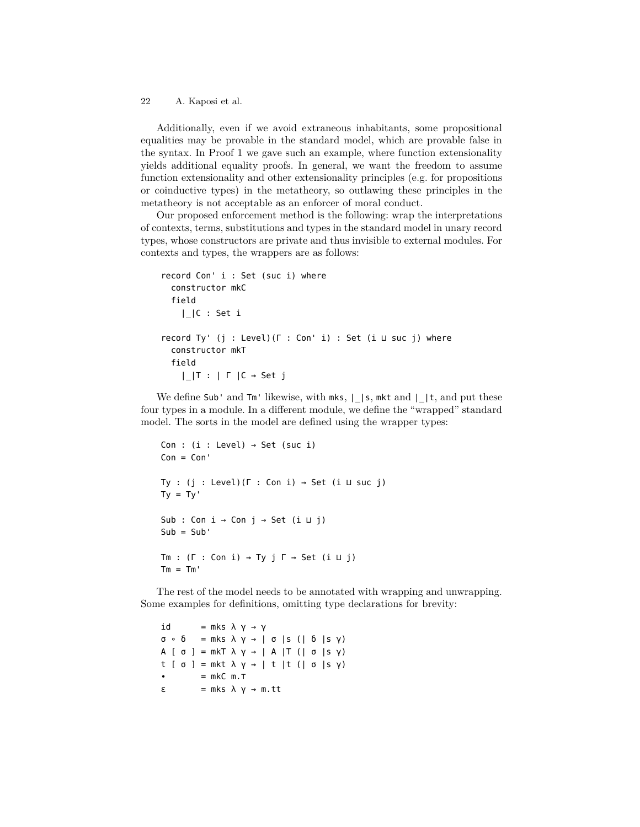Additionally, even if we avoid extraneous inhabitants, some propositional equalities may be provable in the standard model, which are provable false in the syntax. In Proof [1](#page-15-0) we gave such an example, where function extensionality yields additional equality proofs. In general, we want the freedom to assume function extensionality and other extensionality principles (e.g. for propositions or coinductive types) in the metatheory, so outlawing these principles in the metatheory is not acceptable as an enforcer of moral conduct.

Our proposed enforcement method is the following: wrap the interpretations of contexts, terms, substitutions and types in the standard model in unary record types, whose constructors are private and thus invisible to external modules. For contexts and types, the wrappers are as follows:

```
record Con' i : Set (suc i) where
  constructor mkC
  field
    ∣_∣C : Set i
record Ty' (j : Level)(Γ : Con' i) : Set (i ⊔ suc j) where
  constructor mkT
  field
    ∣_∣T : ∣ Γ ∣C → Set j
```
We define Sub' and  $\text{Im}'$  likewise, with mks,  $|\underline{\ }|$ s, mkt and  $|\underline{\ }|$ t, and put these four types in a module. In a different module, we define the "wrapped" standard model. The sorts in the model are defined using the wrapper types:

```
Con : (i : Level) \rightarrow Set (suc i)
Con = Con'Ty : (j : Level)(Γ : Con i) → Set (i ⊔ suc j)
Ty = Ty'Sub : Con i → Con j → Set (i ⊔ j)
Sub = Sub'Tm : (Γ : Con i) → Ty j Γ → Set (i ⊔ j)
Tm = Tm'
```
The rest of the model needs to be annotated with wrapping and unwrapping. Some examples for definitions, omitting type declarations for brevity:

id = mks  $\lambda$   $\gamma \rightarrow \gamma$ σ ∘ δ = mks λ γ → ∣ σ ∣s (∣ δ ∣s γ) A [ σ ] = mkT λ γ → ∣ A ∣T (∣ σ ∣s γ) t [ σ ] = mkt λ γ → ∣ t ∣t (∣ σ ∣s γ) ∙ = mkC m.⊤ ε = mks λ γ → m.tt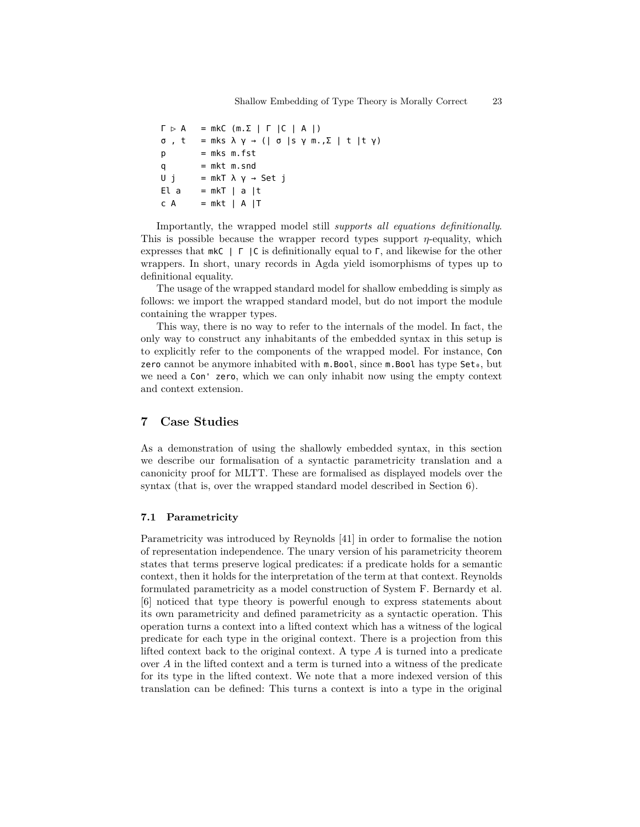Γ ▷ A = mkC (m.Σ ∣ Γ ∣C ∣ A ∣) σ , t = mks λ γ → (∣ σ ∣s γ m.,Σ ∣ t ∣t γ)  $p = mks \, m.fst$  $q = mkt \, m.snd$ U j = mkT  $\lambda$   $\gamma \rightarrow$  Set j El a = mkT | a | t  $c A$  = mkt | A | T

Importantly, the wrapped model still *supports all equations definitionally*. This is possible because the wrapper record types support *η*-equality, which expresses that  $m<sub>K</sub>C$  | Γ | C is definitionally equal to Γ, and likewise for the other wrappers. In short, unary records in Agda yield isomorphisms of types up to definitional equality.

The usage of the wrapped standard model for shallow embedding is simply as follows: we import the wrapped standard model, but do not import the module containing the wrapper types.

This way, there is no way to refer to the internals of the model. In fact, the only way to construct any inhabitants of the embedded syntax in this setup is to explicitly refer to the components of the wrapped model. For instance, Con zero cannot be anymore inhabited with  $m.Bool$ , since  $m.Bool$  has type Set<sub> $o$ </sub>, but we need a Con' zero, which we can only inhabit now using the empty context and context extension.

#### <span id="page-23-1"></span>**7 Case Studies**

As a demonstration of using the shallowly embedded syntax, in this section we describe our formalisation of a syntactic parametricity translation and a canonicity proof for MLTT. These are formalised as displayed models over the syntax (that is, over the wrapped standard model described in Section [6\)](#page-21-0).

#### <span id="page-23-0"></span>**7.1 Parametricity**

Parametricity was introduced by Reynolds [[41\]](#page-32-10) in order to formalise the notion of representation independence. The unary version of his parametricity theorem states that terms preserve logical predicates: if a predicate holds for a semantic context, then it holds for the interpretation of the term at that context. Reynolds formulated parametricity as a model construction of System F. Bernardy et al. [[6\]](#page-30-5) noticed that type theory is powerful enough to express statements about its own parametricity and defined parametricity as a syntactic operation. This operation turns a context into a lifted context which has a witness of the logical predicate for each type in the original context. There is a projection from this lifted context back to the original context. A type *A* is turned into a predicate over *A* in the lifted context and a term is turned into a witness of the predicate for its type in the lifted context. We note that a more indexed version of this translation can be defined: This turns a context is into a type in the original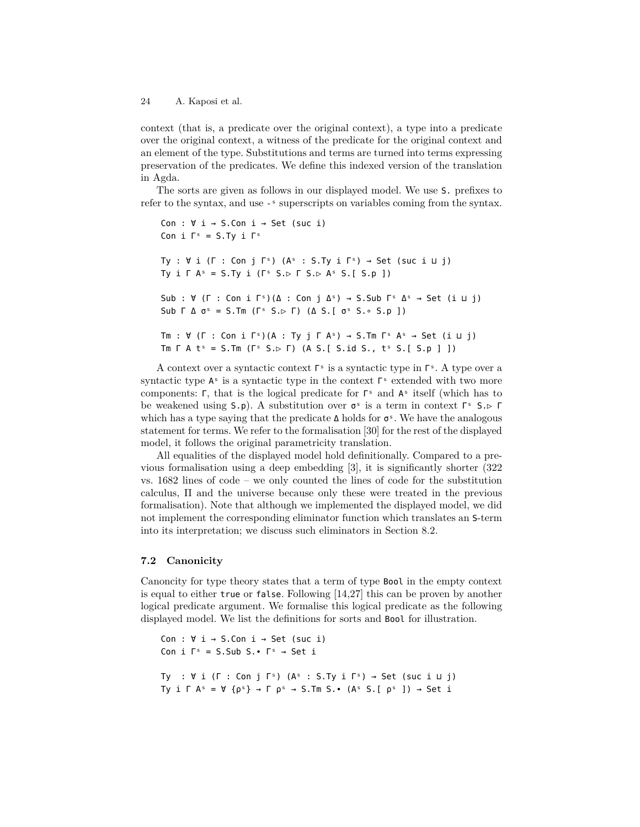context (that is, a predicate over the original context), a type into a predicate over the original context, a witness of the predicate for the original context and an element of the type. Substitutions and terms are turned into terms expressing preservation of the predicates. We define this indexed version of the translation in Agda.

The sorts are given as follows in our displayed model. We use S. prefixes to refer to the syntax, and use  $-$ <sup>s</sup> superscripts on variables coming from the syntax.

```
Con : ∀ i → S.Con i → Set (suc i)
Con i Γ^s = S.Ty i Γ^sTy : ∀ i (Γ : Con j Γˢ) (Aˢ : S.Ty i Γˢ) → Set (suc i ⊔ j)
Ty i Γ Aˢ = S.Ty i (Γˢ S.▷ Γ S.▷ Aˢ S.[ S.p ])
Sub : ∀ (Γ : Con i Γˢ)(Δ : Con j Δˢ) → S.Sub Γˢ Δˢ → Set (i ⊔ j)
Sub Γ Δ σ<sup>s</sup> = S.Tm (Γ<sup>s</sup> S.商 Γ) (Δ S.[ σ<sup>s</sup> S.ø S.p ])Tm : \forall (\Gamma : Con i \Gamma<sup>s</sup>)(A : Ty j \Gamma A<sup>s</sup>) → S.Tm \Gamma<sup>s</sup> A<sup>s</sup> → Set (i \sqcup j)
Tm \Gamma A t<sup>s</sup> = S.Tm (Γ<sup>s</sup> S.\rhd Γ) (A S.[ S.id S., t<sup>s</sup> S.[ S.p ] ])
```
A context over a syntactic context  $\Gamma^s$  is a syntactic type in  $\Gamma^s$ . A type over a syntactic type  $A^s$  is a syntactic type in the context  $\Gamma^s$  extended with two more components: Γ, that is the logical predicate for Γˢ and Aˢ itself (which has to be weakened using S.p). A substitution over  $\sigma^s$  is a term in context  $\Gamma^s$  S. $\triangleright \Gamma$ which has a type saying that the predicate  $\Delta$  holds for  $\sigma^s$ . We have the analogous statement for terms. We refer to the formalisation [[30](#page-31-5)] for the rest of the displayed model, it follows the original parametricity translation.

All equalities of the displayed model hold definitionally. Compared to a previous formalisation using a deep embedding [\[3](#page-30-8)], it is significantly shorter (322 vs. 1682 lines of code – we only counted the lines of code for the substitution calculus, Π and the universe because only these were treated in the previous formalisation). Note that although we implemented the displayed model, we did not implement the corresponding eliminator function which translates an S-term into its interpretation; we discuss such eliminators in Section [8.2](#page-27-0).

#### <span id="page-24-0"></span>**7.2 Canonicity**

Canoncity for type theory states that a term of type Bool in the empty context is equal to either true or false. Following [\[14](#page-30-4),[27\]](#page-31-4) this can be proven by another logical predicate argument. We formalise this logical predicate as the following displayed model. We list the definitions for sorts and Bool for illustration.

```
Con : ∀ i → S.Con i → Set (suc i)
Con i Γˢ = S.Sub S.∙ Γˢ → Set i
Ty : ∀ i (Γ : Con j Γˢ) (Aˢ : S.Ty i Γˢ) → Set (suc i ⊔ j)
Ty i Γ Aˢ = ∀ {ρˢ} → Γ ρˢ → S.Tm S.∙ (Aˢ S.[ ρˢ ]) → Set i
```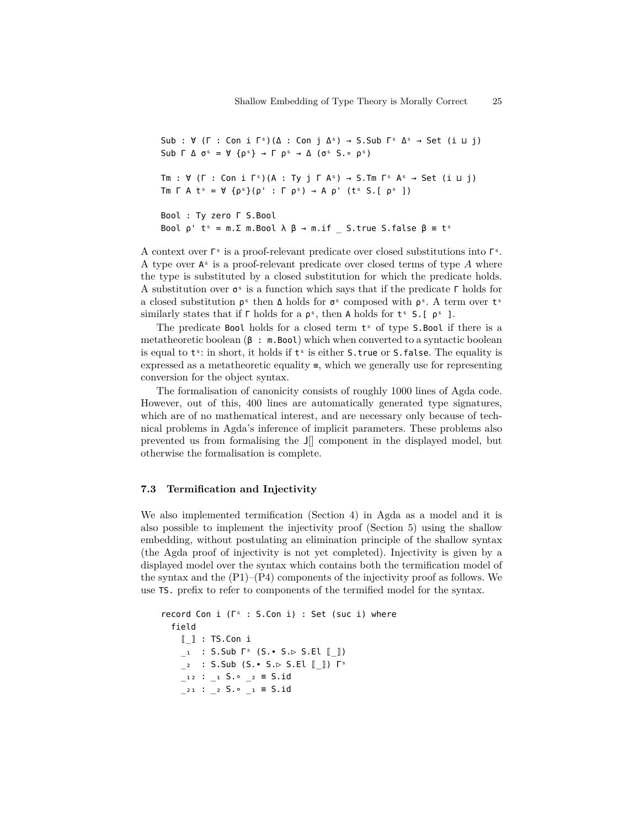Sub : ∀ (Γ : Con i Γ<sup>s</sup>)(Δ : Con j Δ<sup>s</sup>) → S.Sub Γ<sup>s</sup> Δ<sup>s</sup> → Set (i ⊔ j) Sub Γ Δ σ<sup>s</sup> = ∀ {ρ<sup>s</sup>} → Γ ρ<sup>s</sup> → Δ (σ<sup>s</sup> S.∘ ρ<sup>s</sup>) Tm : ∀ (Γ : Con i Γˢ)(A : Ty j Γ Aˢ) → S.Tm Γˢ Aˢ → Set (i ⊔ j) Tm  $\Gamma$  A t<sup>s</sup> =  $\forall$  { $\rho$ <sup>s</sup>}( $\rho$ ' :  $\Gamma$   $\rho$ <sup>s</sup>)  $\rightarrow$  A  $\rho$ ' (t<sup>s</sup> S.[  $\rho$ <sup>s</sup>])

```
Bool : Ty zero Γ S.Bool
Bool \rho' t<sup>s</sup> = m. Σ m. Bool \lambda \beta \rightarrow m. if \qquad S.true S. false \beta \equiv t<sup>s</sup>
```
A context over Γ<sup>s</sup> is a proof-relevant predicate over closed substitutions into Γ<sup>s</sup>. A type over  $A^s$  is a proof-relevant predicate over closed terms of type A where the type is substituted by a closed substitution for which the predicate holds. A substitution over σˢ is a function which says that if the predicate Γ holds for a closed substitution  $\rho^s$  then  $\Delta$  holds for  $\sigma^s$  composed with  $\rho^s$ . A term over t<sup>s</sup> similarly states that if  $\Gamma$  holds for a  $\rho^s$ , then A holds for  $t^s$  S.  $\lceil \rho^s \rceil$ .

The predicate Bool holds for a closed term  $t^s$  of type S.Bool if there is a metatheoretic boolean  $(\beta : \mathsf{m}.\mathsf{Bool})$  which when converted to a syntactic boolean is equal to  $t^s$ : in short, it holds if  $t^s$  is either **S**.true or **S**.false. The equality is expressed as a metatheoretic equality ≡, which we generally use for representing conversion for the object syntax.

The formalisation of canonicity consists of roughly 1000 lines of Agda code. However, out of this, 400 lines are automatically generated type signatures, which are of no mathematical interest, and are necessary only because of technical problems in Agda's inference of implicit parameters. These problems also prevented us from formalising the J[] component in the displayed model, but otherwise the formalisation is complete.

#### <span id="page-25-0"></span>**7.3 Termification and Injectivity**

We also implemented termification (Section [4](#page-16-0)) in Agda as a model and it is also possible to implement the injectivity proof (Section [5](#page-18-0)) using the shallow embedding, without postulating an elimination principle of the shallow syntax (the Agda proof of injectivity is not yet completed). Injectivity is given by a displayed model over the syntax which contains both the termification model of the syntax and the  $(P1)$ – $(P4)$  components of the injectivity proof as follows. We use TS. prefix to refer to components of the termified model for the syntax.

```
record Con i (Γ<sup>s</sup> : S.Con i) : Set (suc i) where
  field
    ⟦_⟧ : TS.Con i
    _₁ : S.Sub Γˢ (S.∙ S.▷ S.El ⟦_⟧)
   _₂ : S.Sub (S.∙ S.▷ S.El ⟦_⟧) Γˢ
    _₁₂ : _₁ S.∘ _₂ ≡ S.id
    _₂₁ : _₂ S.∘ _₁ ≡ S.id
```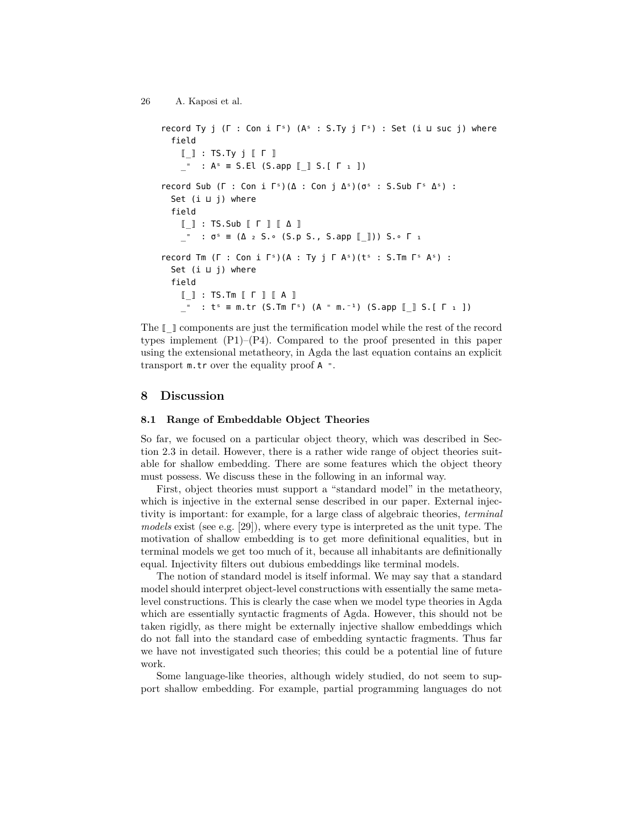```
record Ty j (Γ : Con i Γ<sup>s</sup>) (A<sup>s</sup> : S.Ty j Γ<sup>s</sup>) : Set (i ⊔ suc j) where
   field
       [] : TS.Ty j [] []\_ : A<sup>s</sup> = S.El (S.app [\_ S. [ \Gamma <sup>1</sup> ])
record Sub (Γ : Con i Γ<sup>s</sup>)(Δ : Con j Δ<sup>s</sup>)(σ<sup>s</sup> : S.Sub Γ<sup>s</sup> Δ<sup>s</sup>) :
   Set (i ⊔ j) where
   field
      ⟦_⟧ : TS.Sub ⟦ Γ ⟧ ⟦ Δ ⟧
      _⁼ : σˢ ≡ (Δ ₂ S.∘ (S.p S., S.app ⟦_⟧)) S.∘ Γ ₁
record Tm (Γ : Con i Γ<sup>s</sup>)(A : Ty j Γ A<sup>s</sup>)(t<sup>s</sup> : S.Tm Γ<sup>s</sup> A<sup>s</sup>) :
   Set (i ⊔ j) where
   field
       [] : TS.Tm [] [] [] [] [] [] []\begin{bmatrix} - \cdot & t \cdot \end{bmatrix} = m.tr (S.Tm \lceil \cdot \rceil) (A = m.-1) (S.app \begin{bmatrix} \cdot & \cdot \end{bmatrix} S. [ \lceil \cdot \cdot \rceil])
```
The  $\llbracket \; \; \rrbracket$  components are just the termification model while the rest of the record types implement  $(P1)$ – $(P4)$ . Compared to the proof presented in this paper using the extensional metatheory, in Agda the last equation contains an explicit transport  $m \cdot tr$  over the equality proof  $A =$ .

#### **8 Discussion**

#### <span id="page-26-0"></span>**8.1 Range of Embeddable Object Theories**

So far, we focused on a particular object theory, which was described in Section [2.3](#page-8-0) in detail. However, there is a rather wide range of object theories suitable for shallow embedding. There are some features which the object theory must possess. We discuss these in the following in an informal way.

First, object theories must support a "standard model" in the metatheory, which is injective in the external sense described in our paper. External injectivity is important: for example, for a large class of algebraic theories, *terminal models* exist (see e.g. [\[29](#page-31-2)]), where every type is interpreted as the unit type. The motivation of shallow embedding is to get more definitional equalities, but in terminal models we get too much of it, because all inhabitants are definitionally equal. Injectivity filters out dubious embeddings like terminal models.

The notion of standard model is itself informal. We may say that a standard model should interpret object-level constructions with essentially the same metalevel constructions. This is clearly the case when we model type theories in Agda which are essentially syntactic fragments of Agda. However, this should not be taken rigidly, as there might be externally injective shallow embeddings which do not fall into the standard case of embedding syntactic fragments. Thus far we have not investigated such theories; this could be a potential line of future work.

Some language-like theories, although widely studied, do not seem to support shallow embedding. For example, partial programming languages do not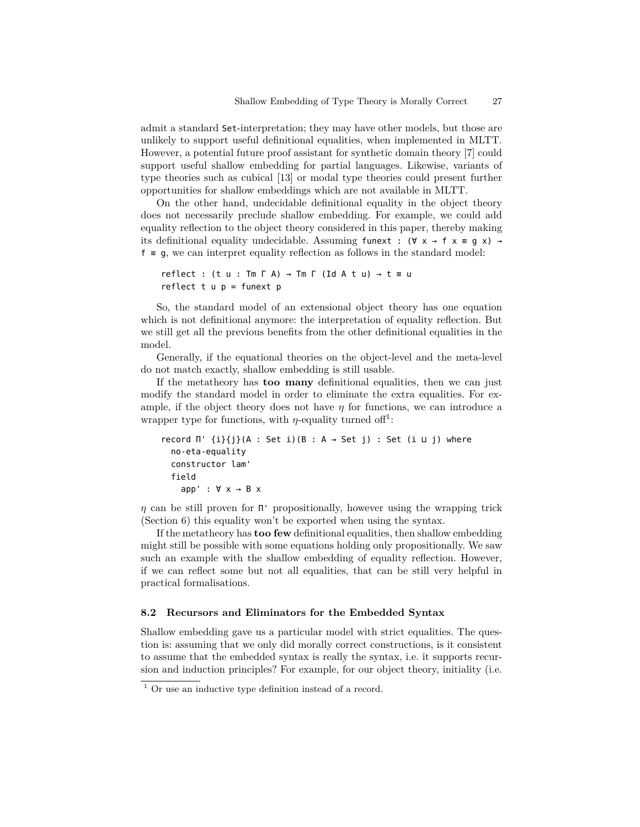admit a standard Set-interpretation; they may have other models, but those are unlikely to support useful definitional equalities, when implemented in MLTT. However, a potential future proof assistant for synthetic domain theory [[7\]](#page-30-14) could support useful shallow embedding for partial languages. Likewise, variants of type theories such as cubical [[13\]](#page-30-15) or modal type theories could present further opportunities for shallow embeddings which are not available in MLTT.

On the other hand, undecidable definitional equality in the object theory does not necessarily preclude shallow embedding. For example, we could add equality reflection to the object theory considered in this paper, thereby making its definitional equality undecidable. Assuming funext :  $(\forall x \rightarrow f x \equiv q x) \rightarrow$  $f \equiv g$ , we can interpret equality reflection as follows in the standard model:

```
reflect : (t u : Tm \Gamma A) \rightarrow Tm \Gamma (Id A t u) \rightarrow t \equiv u
reflect t u p = funext p
```
So, the standard model of an extensional object theory has one equation which is not definitional anymore: the interpretation of equality reflection. But we still get all the previous benefits from the other definitional equalities in the model.

Generally, if the equational theories on the object-level and the meta-level do not match exactly, shallow embedding is still usable.

If the metatheory has **too many** definitional equalities, then we can just modify the standard model in order to eliminate the extra equalities. For example, if the object theory does not have  $\eta$  for functions, we can introduce a wrapper type for functions, with  $\eta$ -equality turned of  $f^1$  $f^1$ :

```
record Π' {i}{j}(A : Set i)(B : A → Set j) : Set (i ⊔ j) where
 no-eta-equality
 constructor lam'
 field
    app' : ∀ x → B x
```
 $η$  can be still proven for  $Π'$  propositionally, however using the wrapping trick (Section [6](#page-21-0)) this equality won't be exported when using the syntax.

If the metatheory has **too few** definitional equalities, then shallow embedding might still be possible with some equations holding only propositionally. We saw such an example with the shallow embedding of equality reflection. However, if we can reflect some but not all equalities, that can be still very helpful in practical formalisations.

#### <span id="page-27-0"></span>**8.2 Recursors and Eliminators for the Embedded Syntax**

Shallow embedding gave us a particular model with strict equalities. The question is: assuming that we only did morally correct constructions, is it consistent to assume that the embedded syntax is really the syntax, i.e. it supports recursion and induction principles? For example, for our object theory, initiality (i.e.

<span id="page-27-1"></span><sup>1</sup> Or use an inductive type definition instead of a record.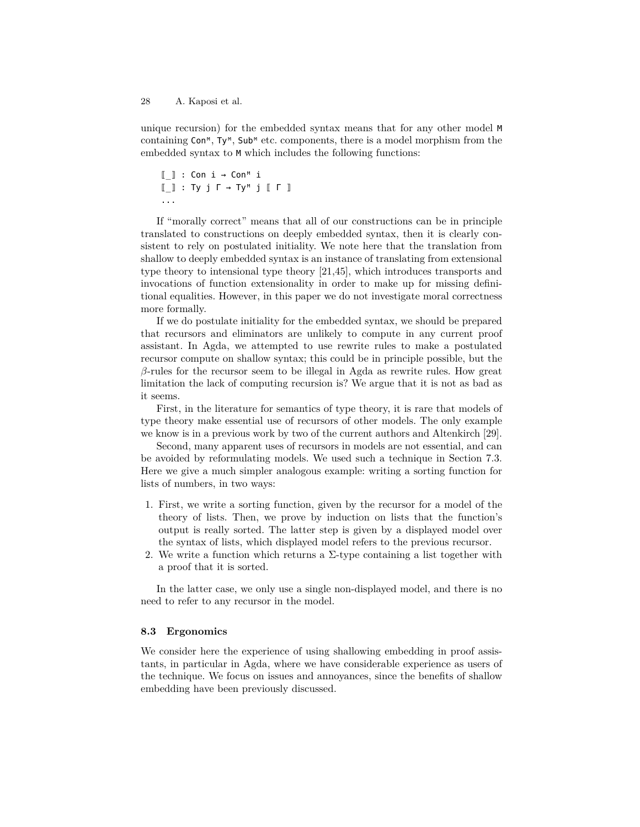unique recursion) for the embedded syntax means that for any other model M containing  $\text{Con}^{\mathsf{M}}, \text{Ty}^{\mathsf{M}}, \text{Sub}^{\mathsf{M}}$  etc. components, there is a model morphism from the embedded syntax to M which includes the following functions:

```
⟦_⟧ : Con i → Conᴹ i
⟦_⟧ : Ty j Γ → Tyᴹ j ⟦ Γ ⟧
...
```
If "morally correct" means that all of our constructions can be in principle translated to constructions on deeply embedded syntax, then it is clearly consistent to rely on postulated initiality. We note here that the translation from shallow to deeply embedded syntax is an instance of translating from extensional type theory to intensional type theory [[21,](#page-31-16)[45\]](#page-32-11), which introduces transports and invocations of function extensionality in order to make up for missing definitional equalities. However, in this paper we do not investigate moral correctness more formally.

If we do postulate initiality for the embedded syntax, we should be prepared that recursors and eliminators are unlikely to compute in any current proof assistant. In Agda, we attempted to use rewrite rules to make a postulated recursor compute on shallow syntax; this could be in principle possible, but the *β*-rules for the recursor seem to be illegal in Agda as rewrite rules. How great limitation the lack of computing recursion is? We argue that it is not as bad as it seems.

First, in the literature for semantics of type theory, it is rare that models of type theory make essential use of recursors of other models. The only example we know is in a previous work by two of the current authors and Altenkirch [\[29](#page-31-2)].

Second, many apparent uses of recursors in models are not essential, and can be avoided by reformulating models. We used such a technique in Section [7.3.](#page-25-0) Here we give a much simpler analogous example: writing a sorting function for lists of numbers, in two ways:

- 1. First, we write a sorting function, given by the recursor for a model of the theory of lists. Then, we prove by induction on lists that the function's output is really sorted. The latter step is given by a displayed model over the syntax of lists, which displayed model refers to the previous recursor.
- 2. We write a function which returns a  $\Sigma$ -type containing a list together with a proof that it is sorted.

In the latter case, we only use a single non-displayed model, and there is no need to refer to any recursor in the model.

#### **8.3 Ergonomics**

We consider here the experience of using shallowing embedding in proof assistants, in particular in Agda, where we have considerable experience as users of the technique. We focus on issues and annoyances, since the benefits of shallow embedding have been previously discussed.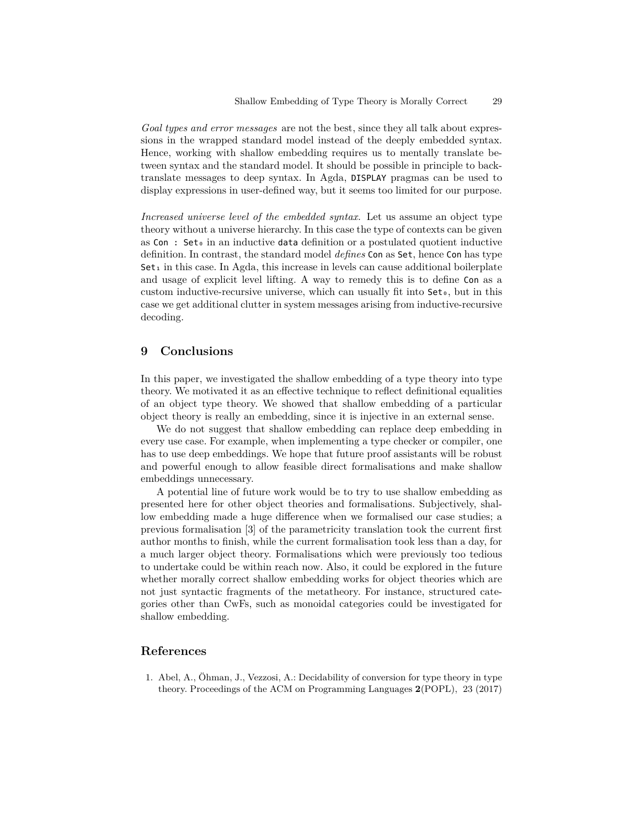*Goal types and error messages* are not the best, since they all talk about expressions in the wrapped standard model instead of the deeply embedded syntax. Hence, working with shallow embedding requires us to mentally translate between syntax and the standard model. It should be possible in principle to backtranslate messages to deep syntax. In Agda, DISPLAY pragmas can be used to display expressions in user-defined way, but it seems too limited for our purpose.

*Increased universe level of the embedded syntax.* Let us assume an object type theory without a universe hierarchy. In this case the type of contexts can be given as  $Con : Set_{\theta}$  in an inductive data definition or a postulated quotient inductive definition. In contrast, the standard model *defines* Con as Set, hence Con has type Set₁ in this case. In Agda, this increase in levels can cause additional boilerplate and usage of explicit level lifting. A way to remedy this is to define Con as a custom inductive-recursive universe, which can usually fit into  $\text{Set}_{\theta}$ , but in this case we get additional clutter in system messages arising from inductive-recursive decoding.

#### **9 Conclusions**

In this paper, we investigated the shallow embedding of a type theory into type theory. We motivated it as an effective technique to reflect definitional equalities of an object type theory. We showed that shallow embedding of a particular object theory is really an embedding, since it is injective in an external sense.

We do not suggest that shallow embedding can replace deep embedding in every use case. For example, when implementing a type checker or compiler, one has to use deep embeddings. We hope that future proof assistants will be robust and powerful enough to allow feasible direct formalisations and make shallow embeddings unnecessary.

A potential line of future work would be to try to use shallow embedding as presented here for other object theories and formalisations. Subjectively, shallow embedding made a huge difference when we formalised our case studies; a previous formalisation [\[3](#page-30-8)] of the parametricity translation took the current first author months to finish, while the current formalisation took less than a day, for a much larger object theory. Formalisations which were previously too tedious to undertake could be within reach now. Also, it could be explored in the future whether morally correct shallow embedding works for object theories which are not just syntactic fragments of the metatheory. For instance, structured categories other than CwFs, such as monoidal categories could be investigated for shallow embedding.

# **References**

<span id="page-29-0"></span>1. Abel, A., Öhman, J., Vezzosi, A.: Decidability of conversion for type theory in type theory. Proceedings of the ACM on Programming Languages **2**(POPL), 23 (2017)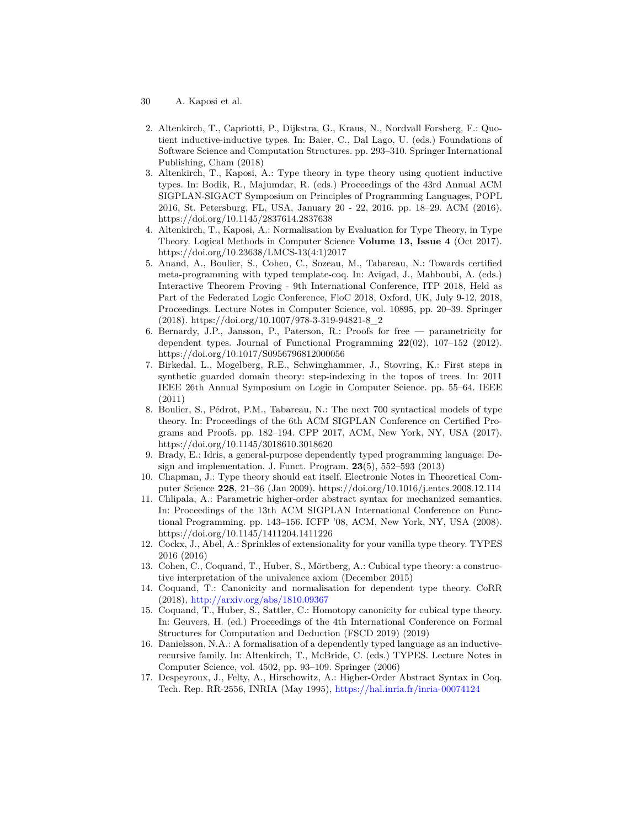- 30 A. Kaposi et al.
- <span id="page-30-2"></span>2. Altenkirch, T., Capriotti, P., Dijkstra, G., Kraus, N., Nordvall Forsberg, F.: Quotient inductive-inductive types. In: Baier, C., Dal Lago, U. (eds.) Foundations of Software Science and Computation Structures. pp. 293–310. Springer International Publishing, Cham (2018)
- <span id="page-30-8"></span>3. Altenkirch, T., Kaposi, A.: Type theory in type theory using quotient inductive types. In: Bodik, R., Majumdar, R. (eds.) Proceedings of the 43rd Annual ACM SIGPLAN-SIGACT Symposium on Principles of Programming Languages, POPL 2016, St. Petersburg, FL, USA, January 20 - 22, 2016. pp. 18–29. ACM (2016). <https://doi.org/10.1145/2837614.2837638>
- <span id="page-30-9"></span>4. Altenkirch, T., Kaposi, A.: Normalisation by Evaluation for Type Theory, in Type Theory. Logical Methods in Computer Science **Volume 13, Issue 4** (Oct 2017). [https://doi.org/10.23638/LMCS-13\(4:1\)2017](https://doi.org/10.23638/LMCS-13(4:1)2017)
- <span id="page-30-6"></span>5. Anand, A., Boulier, S., Cohen, C., Sozeau, M., Tabareau, N.: Towards certified meta-programming with typed template-coq. In: Avigad, J., Mahboubi, A. (eds.) Interactive Theorem Proving - 9th International Conference, ITP 2018, Held as Part of the Federated Logic Conference, FloC 2018, Oxford, UK, July 9-12, 2018, Proceedings. Lecture Notes in Computer Science, vol. 10895, pp. 20–39. Springer (2018). [https://doi.org/10.1007/978-3-319-94821-8\\_2](https://doi.org/10.1007/978-3-319-94821-8_2)
- <span id="page-30-5"></span>6. Bernardy, J.P., Jansson, P., Paterson, R.: Proofs for free — parametricity for dependent types. Journal of Functional Programming **22**(02), 107–152 (2012). <https://doi.org/10.1017/S0956796812000056>
- <span id="page-30-14"></span>7. Birkedal, L., Mogelberg, R.E., Schwinghammer, J., Stovring, K.: First steps in synthetic guarded domain theory: step-indexing in the topos of trees. In: 2011 IEEE 26th Annual Symposium on Logic in Computer Science. pp. 55–64. IEEE (2011)
- <span id="page-30-12"></span>8. Boulier, S., Pédrot, P.M., Tabareau, N.: The next 700 syntactical models of type theory. In: Proceedings of the 6th ACM SIGPLAN Conference on Certified Programs and Proofs. pp. 182–194. CPP 2017, ACM, New York, NY, USA (2017). <https://doi.org/10.1145/3018610.3018620>
- <span id="page-30-0"></span>9. Brady, E.: Idris, a general-purpose dependently typed programming language: Design and implementation. J. Funct. Program. **23**(5), 552–593 (2013)
- <span id="page-30-1"></span>10. Chapman, J.: Type theory should eat itself. Electronic Notes in Theoretical Computer Science **228**, 21–36 (Jan 2009). <https://doi.org/10.1016/j.entcs.2008.12.114>
- <span id="page-30-11"></span>11. Chlipala, A.: Parametric higher-order abstract syntax for mechanized semantics. In: Proceedings of the 13th ACM SIGPLAN International Conference on Functional Programming. pp. 143–156. ICFP '08, ACM, New York, NY, USA (2008). <https://doi.org/10.1145/1411204.1411226>
- <span id="page-30-3"></span>12. Cockx, J., Abel, A.: Sprinkles of extensionality for your vanilla type theory. TYPES 2016 (2016)
- <span id="page-30-15"></span>13. Cohen, C., Coquand, T., Huber, S., Mörtberg, A.: Cubical type theory: a constructive interpretation of the univalence axiom (December 2015)
- <span id="page-30-4"></span>14. Coquand, T.: Canonicity and normalisation for dependent type theory. CoRR (2018), <http://arxiv.org/abs/1810.09367>
- <span id="page-30-13"></span>15. Coquand, T., Huber, S., Sattler, C.: Homotopy canonicity for cubical type theory. In: Geuvers, H. (ed.) Proceedings of the 4th International Conference on Formal Structures for Computation and Deduction (FSCD 2019) (2019)
- <span id="page-30-7"></span>16. Danielsson, N.A.: A formalisation of a dependently typed language as an inductiverecursive family. In: Altenkirch, T., McBride, C. (eds.) TYPES. Lecture Notes in Computer Science, vol. 4502, pp. 93–109. Springer (2006)
- <span id="page-30-10"></span>17. Despeyroux, J., Felty, A., Hirschowitz, A.: Higher-Order Abstract Syntax in Coq. Tech. Rep. RR-2556, INRIA (May 1995), <https://hal.inria.fr/inria-00074124>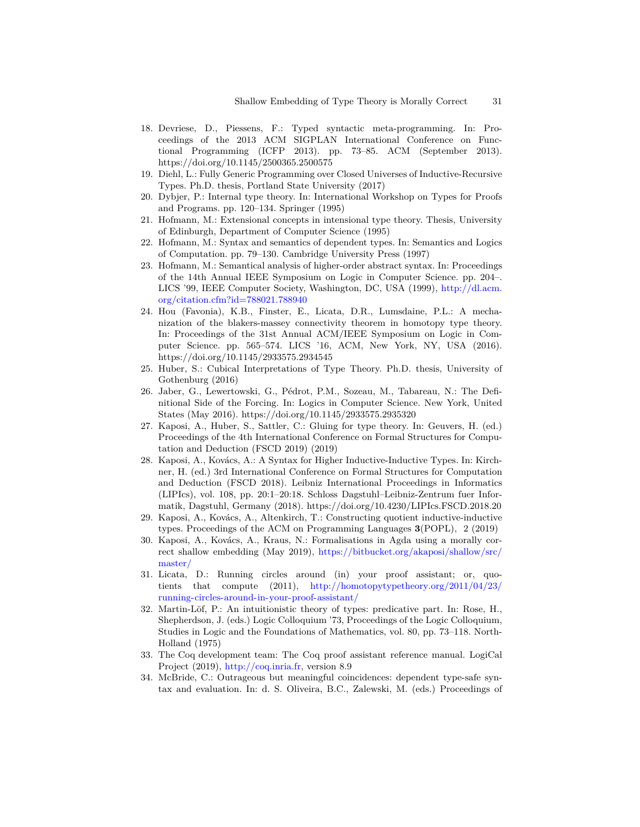- <span id="page-31-6"></span>18. Devriese, D., Piessens, F.: Typed syntactic meta-programming. In: Proceedings of the 2013 ACM SIGPLAN International Conference on Functional Programming (ICFP 2013). pp. 73–85. ACM (September 2013). <https://doi.org/10.1145/2500365.2500575>
- <span id="page-31-15"></span>19. Diehl, L.: Fully Generic Programming over Closed Universes of Inductive-Recursive Types. Ph.D. thesis, Portland State University (2017)
- <span id="page-31-13"></span>20. Dybjer, P.: Internal type theory. In: International Workshop on Types for Proofs and Programs. pp. 120–134. Springer (1995)
- <span id="page-31-16"></span>21. Hofmann, M.: Extensional concepts in intensional type theory. Thesis, University of Edinburgh, Department of Computer Science (1995)
- <span id="page-31-3"></span>22. Hofmann, M.: Syntax and semantics of dependent types. In: Semantics and Logics of Computation. pp. 79–130. Cambridge University Press (1997)
- <span id="page-31-7"></span>23. Hofmann, M.: Semantical analysis of higher-order abstract syntax. In: Proceedings of the 14th Annual IEEE Symposium on Logic in Computer Science. pp. 204–. LICS '99, IEEE Computer Society, Washington, DC, USA (1999), [http://dl.acm.](http://dl.acm.org/citation.cfm?id=788021.788940) [org/citation.cfm?id=788021.788940](http://dl.acm.org/citation.cfm?id=788021.788940)
- <span id="page-31-11"></span>24. Hou (Favonia), K.B., Finster, E., Licata, D.R., Lumsdaine, P.L.: A mechanization of the blakers-massey connectivity theorem in homotopy type theory. In: Proceedings of the 31st Annual ACM/IEEE Symposium on Logic in Computer Science. pp. 565–574. LICS '16, ACM, New York, NY, USA (2016). <https://doi.org/10.1145/2933575.2934545>
- <span id="page-31-14"></span>25. Huber, S.: Cubical Interpretations of Type Theory. Ph.D. thesis, University of Gothenburg (2016)
- <span id="page-31-9"></span>26. Jaber, G., Lewertowski, G., Pédrot, P.M., Sozeau, M., Tabareau, N.: The Definitional Side of the Forcing. In: Logics in Computer Science. New York, United States (May 2016). <https://doi.org/10.1145/2933575.2935320>
- <span id="page-31-4"></span>27. Kaposi, A., Huber, S., Sattler, C.: Gluing for type theory. In: Geuvers, H. (ed.) Proceedings of the 4th International Conference on Formal Structures for Computation and Deduction (FSCD 2019) (2019)
- <span id="page-31-10"></span>28. Kaposi, A., Kovács, A.: A Syntax for Higher Inductive-Inductive Types. In: Kirchner, H. (ed.) 3rd International Conference on Formal Structures for Computation and Deduction (FSCD 2018). Leibniz International Proceedings in Informatics (LIPIcs), vol. 108, pp. 20:1–20:18. Schloss Dagstuhl–Leibniz-Zentrum fuer Informatik, Dagstuhl, Germany (2018). <https://doi.org/10.4230/LIPIcs.FSCD.2018.20>
- <span id="page-31-2"></span>29. Kaposi, A., Kovács, A., Altenkirch, T.: Constructing quotient inductive-inductive types. Proceedings of the ACM on Programming Languages **3**(POPL), 2 (2019)
- <span id="page-31-5"></span>30. Kaposi, A., Kovács, A., Kraus, N.: Formalisations in Agda using a morally correct shallow embedding (May 2019), [https://bitbucket.org/akaposi/shallow/src/](https://bitbucket.org/akaposi/shallow/src/master/) [master/](https://bitbucket.org/akaposi/shallow/src/master/)
- <span id="page-31-12"></span>31. Licata, D.: Running circles around (in) your proof assistant; or, quotients that compute (2011), [http://homotopytypetheory.org/2011/04/23/](http://homotopytypetheory.org/2011/04/23/running-circles-around-in-your-proof-assistant/) [running-circles-around-in-your-proof-assistant/](http://homotopytypetheory.org/2011/04/23/running-circles-around-in-your-proof-assistant/)
- <span id="page-31-0"></span>32. Martin-Löf, P.: An intuitionistic theory of types: predicative part. In: Rose, H., Shepherdson, J. (eds.) Logic Colloquium '73, Proceedings of the Logic Colloquium, Studies in Logic and the Foundations of Mathematics, vol. 80, pp. 73–118. North-Holland (1975)
- <span id="page-31-1"></span>33. The Coq development team: The Coq proof assistant reference manual. LogiCal Project (2019), [http://coq.inria.fr,](http://coq.inria.fr) version 8.9
- <span id="page-31-8"></span>34. McBride, C.: Outrageous but meaningful coincidences: dependent type-safe syntax and evaluation. In: d. S. Oliveira, B.C., Zalewski, M. (eds.) Proceedings of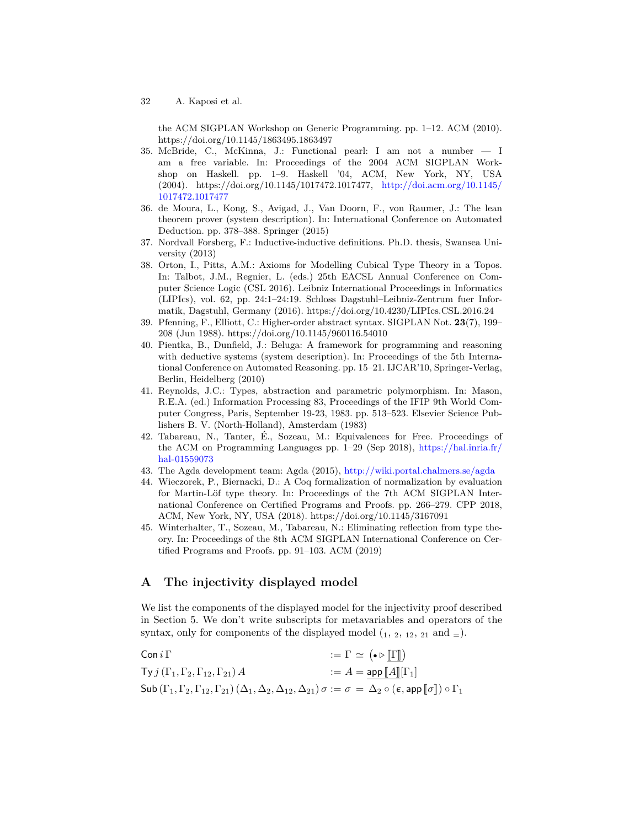the ACM SIGPLAN Workshop on Generic Programming. pp. 1–12. ACM (2010). <https://doi.org/10.1145/1863495.1863497>

- <span id="page-32-8"></span>35. McBride, C., McKinna, J.: Functional pearl: I am not a number — I am a free variable. In: Proceedings of the 2004 ACM SIGPLAN Workshop on Haskell. pp. 1–9. Haskell '04, ACM, New York, NY, USA (2004). [https://doi.org/10.1145/1017472.1017477,](https://doi.org/10.1145/1017472.1017477) [http://doi.acm.org/10.1145/](http://doi.acm.org/10.1145/1017472.1017477) [1017472.1017477](http://doi.acm.org/10.1145/1017472.1017477)
- <span id="page-32-1"></span>36. de Moura, L., Kong, S., Avigad, J., Van Doorn, F., von Raumer, J.: The lean theorem prover (system description). In: International Conference on Automated Deduction. pp. 378–388. Springer (2015)
- <span id="page-32-2"></span>37. Nordvall Forsberg, F.: Inductive-inductive definitions. Ph.D. thesis, Swansea University (2013)
- <span id="page-32-7"></span>38. Orton, I., Pitts, A.M.: Axioms for Modelling Cubical Type Theory in a Topos. In: Talbot, J.M., Regnier, L. (eds.) 25th EACSL Annual Conference on Computer Science Logic (CSL 2016). Leibniz International Proceedings in Informatics (LIPIcs), vol. 62, pp. 24:1–24:19. Schloss Dagstuhl–Leibniz-Zentrum fuer Informatik, Dagstuhl, Germany (2016). <https://doi.org/10.4230/LIPIcs.CSL.2016.24>
- <span id="page-32-4"></span>39. Pfenning, F., Elliott, C.: Higher-order abstract syntax. SIGPLAN Not. **23**(7), 199– 208 (Jun 1988). <https://doi.org/10.1145/960116.54010>
- <span id="page-32-5"></span>40. Pientka, B., Dunfield, J.: Beluga: A framework for programming and reasoning with deductive systems (system description). In: Proceedings of the 5th International Conference on Automated Reasoning. pp. 15–21. IJCAR'10, Springer-Verlag, Berlin, Heidelberg (2010)
- <span id="page-32-10"></span>41. Reynolds, J.C.: Types, abstraction and parametric polymorphism. In: Mason, R.E.A. (ed.) Information Processing 83, Proceedings of the IFIP 9th World Computer Congress, Paris, September 19-23, 1983. pp. 513–523. Elsevier Science Publishers B. V. (North-Holland), Amsterdam (1983)
- <span id="page-32-6"></span>42. Tabareau, N., Tanter, É., Sozeau, M.: Equivalences for Free. Proceedings of the ACM on Programming Languages pp. 1–29 (Sep 2018), [https://hal.inria.fr/](https://hal.inria.fr/hal-01559073) [hal-01559073](https://hal.inria.fr/hal-01559073)
- <span id="page-32-0"></span>43. The Agda development team: Agda (2015), <http://wiki.portal.chalmers.se/agda>
- <span id="page-32-3"></span>44. Wieczorek, P., Biernacki, D.: A Coq formalization of normalization by evaluation for Martin-Löf type theory. In: Proceedings of the 7th ACM SIGPLAN International Conference on Certified Programs and Proofs. pp. 266–279. CPP 2018, ACM, New York, NY, USA (2018). <https://doi.org/10.1145/3167091>
- <span id="page-32-11"></span>45. Winterhalter, T., Sozeau, M., Tabareau, N.: Eliminating reflection from type theory. In: Proceedings of the 8th ACM SIGPLAN International Conference on Certified Programs and Proofs. pp. 91–103. ACM (2019)

# <span id="page-32-9"></span>**A The injectivity displayed model**

We list the components of the displayed model for the injectivity proof described in Section [5](#page-18-0). We don't write subscripts for metavariables and operators of the syntax, only for components of the displayed model  $(1, 2, 12, 21, 21, 21)$ .

Con *i* Γ  $\cong \Gamma \simeq (\bullet \triangleright \mathbb{I} \Gamma)$  $\text{Ty } j \left( \Gamma_1, \Gamma_2, \Gamma_{12}, \Gamma_{21} \right) A$  :=  $A = \text{app} \llbracket A \rrbracket [\Gamma_1]$  $\mathsf{Sub}\left(\Gamma_1,\Gamma_2,\Gamma_{12},\Gamma_{21}\right)\left(\Delta_1,\Delta_2,\Delta_{12},\Delta_{21}\right)\sigma:=\sigma\,=\,\Delta_2\circ\left(\varepsilon,\mathsf{app}\left[\!\left[\sigma\right]\!\right]\!\right)\circ\Gamma_1$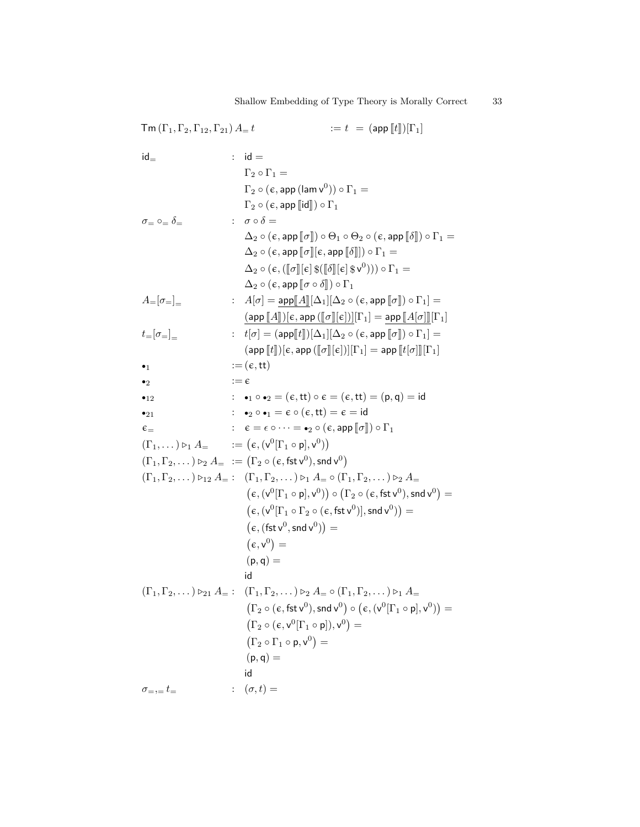| $\mathsf{Tm}\left(\Gamma_1,\Gamma_2,\Gamma_{12},\Gamma_{21}\right)A_t = t$ |                | $:= t = (\mathsf{app}\, [\![t]\!]) [\Gamma_1]$                                                                                                                                                   |
|----------------------------------------------------------------------------|----------------|--------------------------------------------------------------------------------------------------------------------------------------------------------------------------------------------------|
| $\mathsf{id}_{=}$                                                          |                | $:$ id $=$                                                                                                                                                                                       |
|                                                                            |                | $\Gamma_2 \circ \Gamma_1 =$                                                                                                                                                                      |
|                                                                            |                | $\Gamma_2 \circ (\epsilon, \mathsf{app}(\mathsf{lamv}^0)) \circ \Gamma_1 =$                                                                                                                      |
|                                                                            |                | $\Gamma_2 \circ (\epsilon, \mathsf{app} [\![\mathsf{id}]\!]) \circ \Gamma_1$                                                                                                                     |
| $\sigma_=\circ_=\delta_=$                                                  |                | $\sigma \circ \delta =$                                                                                                                                                                          |
|                                                                            |                | $\Delta_2 \circ (\epsilon, \mathsf{app} \, \llbracket \sigma \rrbracket) \circ \Theta_1 \circ \Theta_2 \circ (\epsilon, \mathsf{app} \, \llbracket \delta \rrbracket) \circ \Gamma_1 =$          |
|                                                                            |                | $\Delta_2 \circ (\epsilon, \mathsf{app} \, \llbracket \sigma \rrbracket[\epsilon, \mathsf{app} \, \llbracket \delta \rrbracket]) \circ \Gamma_1 =$                                               |
|                                                                            |                | $\Delta_2 \circ (\epsilon, (\llbracket \sigma \rrbracket [\epsilon] \, \$(\llbracket \delta \rrbracket [\epsilon] \, \$\mathsf{v}^0))) \circ \Gamma_1 =$                                         |
|                                                                            |                | $\Delta_2 \circ (\epsilon, \mathsf{app} \, \llbracket \sigma \circ \delta \rrbracket) \circ \Gamma_1$                                                                                            |
| $A = \begin{bmatrix} \sigma \end{bmatrix}$                                 |                | $\therefore A[\sigma] = \mathsf{app}[\![A]\!][\Delta_1][\Delta_2 \circ (\epsilon, \mathsf{app}[\![\sigma]\!]) \circ \Gamma_1] =$                                                                 |
|                                                                            |                | $(\textsf{app}\llbracket A \rrbracket)[\epsilon, \textsf{app}\left(\llbracket \sigma \rrbracket[\epsilon]\right)][\Gamma_1] = \textsf{app}\llbracket A[\sigma] \rrbracket[\Gamma_1]$             |
| $t=[\sigma=]_\equiv$                                                       |                | : $t[\sigma] = (\text{app}[[t]])[\Delta_1][\Delta_2 \circ (\epsilon, \text{app}[[\sigma]]) \circ \Gamma_1] =$                                                                                    |
|                                                                            |                | $\mathcal{L}(\mathsf{app}\left[\![t]\!]\right)[\epsilon,\mathsf{app}\left([\![\sigma]\!][\![\epsilon]\!]\right)[\Gamma_1] = \mathsf{app}\left[\![t[\sigma]\!]\right][\Gamma_1]$                  |
| $\bullet_1$                                                                |                | $:=$ $(\epsilon, t\tau)$                                                                                                                                                                         |
| $\bullet_2$                                                                |                | $:= \epsilon$                                                                                                                                                                                    |
| •12                                                                        |                | $\cdot \bullet_1 \circ \bullet_2 = (\epsilon, \text{tt}) \circ \epsilon = (\epsilon, \text{tt}) = (\mathsf{p}, \mathsf{q}) = \text{id}$                                                          |
| •21                                                                        |                | $\epsilon_2 \circ \bullet_1 = \epsilon \circ (\epsilon, \text{tt}) = \epsilon = \text{id}$                                                                                                       |
| $\epsilon_{=}$                                                             |                | $\epsilon = \epsilon \circ \cdots = \bullet_2 \circ (\epsilon, \mathsf{app} \, \llbracket \sigma \rrbracket) \circ \Gamma_1$                                                                     |
|                                                                            |                | $(\Gamma_1,\dots)\triangleright_1 A_{\equiv} \qquad := (\epsilon,(\mathsf{v}^0[\Gamma_1\circ\mathsf{p}],\mathsf{v}^0))$                                                                          |
|                                                                            |                | $(\Gamma_1, \Gamma_2, \dots) \triangleright_2 A_{\equiv} := (\Gamma_2 \circ (\epsilon, \text{fst}\,\mathsf{v}^0), \text{snd}\,\mathsf{v}^0)$                                                     |
|                                                                            |                | $(\Gamma_1, \Gamma_2, \dots) \triangleright_{12} A = : (\Gamma_1, \Gamma_2, \dots) \triangleright_1 A = \circ (\Gamma_1, \Gamma_2, \dots) \triangleright_2 A =$                                  |
|                                                                            |                | $(\epsilon, (v^0[\Gamma_1 \circ p], v^0)) \circ (\Gamma_2 \circ (\epsilon, \text{fst } v^0), \text{snd } v^0) =$                                                                                 |
|                                                                            |                | $(\epsilon, (v^0[\Gamma_1 \circ \Gamma_2 \circ (\epsilon, \text{fst } v^0)], \text{snd } v^0))$ =                                                                                                |
|                                                                            |                | $(\epsilon, (\text{fst}\,\mathsf{v}^0,\text{snd}\,\mathsf{v}^0)) =$                                                                                                                              |
|                                                                            |                | $(\epsilon, v^0) =$                                                                                                                                                                              |
|                                                                            |                | $(p,q) =$                                                                                                                                                                                        |
|                                                                            |                | id                                                                                                                                                                                               |
|                                                                            |                | $(\Gamma_1, \Gamma_2, \dots) \triangleright_{21} A =: (\Gamma_1, \Gamma_2, \dots) \triangleright_2 A = \circ (\Gamma_1, \Gamma_2, \dots) \triangleright_1 A =$                                   |
|                                                                            |                | $\left(\Gamma_2 \circ (\varepsilon, \mathsf{fst}\, \mathsf{v}^0), \mathsf{snd}\, \mathsf{v}^0\right) \circ \left( \varepsilon, (\mathsf{v}^0[\Gamma_1 \circ \mathsf{p}], \mathsf{v}^0)\right) =$ |
|                                                                            |                | $\left(\Gamma_2\circ(\varepsilon,\mathsf{v}^0[\Gamma_1\circ\mathsf{p}]),\mathsf{v}^0\right)=$                                                                                                    |
|                                                                            |                | $(\Gamma_2 \circ \Gamma_1 \circ \mathsf{p}, \mathsf{v}^0) =$                                                                                                                                     |
|                                                                            |                | $(p,q) =$                                                                                                                                                                                        |
|                                                                            |                | id                                                                                                                                                                                               |
| $\sigma_{=},_{=}t_{=}$                                                     | $\ddot{\cdot}$ | $(\sigma, t) =$                                                                                                                                                                                  |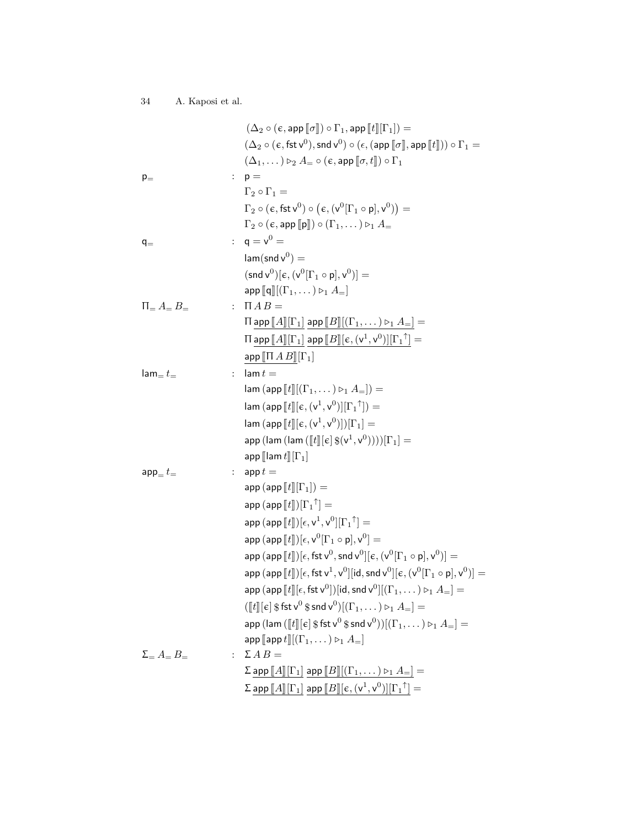| $(\Delta_2 \circ (\epsilon, \text{fst} \nu^0), \text{snd} \nu^0) \circ (\epsilon, (\text{app } [\![\sigma]\!], \text{app } [\![t]\!])) \circ \Gamma_1 =$<br>$(\Delta_1,\dots) \triangleright_2 A = \circ (\epsilon, \mathsf{app} [\![ \sigma, t ]\!]) \circ \Gamma_1$ |
|-----------------------------------------------------------------------------------------------------------------------------------------------------------------------------------------------------------------------------------------------------------------------|
|                                                                                                                                                                                                                                                                       |
|                                                                                                                                                                                                                                                                       |
| $p =$<br>$p_{=}$                                                                                                                                                                                                                                                      |
| $\Gamma_2 \circ \Gamma_1 =$                                                                                                                                                                                                                                           |
| $\Gamma_2 \circ (\epsilon, \text{fst} \, \mathsf{v}^0) \circ (\epsilon, (\mathsf{v}^0[\Gamma_1 \circ \mathsf{p}], \mathsf{v}^0)) =$                                                                                                                                   |
| $\Gamma_2 \circ (\epsilon, \mathsf{app} \llbracket \mathsf{p} \rrbracket) \circ (\Gamma_1, \dots) \triangleright_1 A_{\equiv}$                                                                                                                                        |
| : $q = v^0 =$<br>$q_{=}$                                                                                                                                                                                                                                              |
| $\text{lam}(\text{snd v}^0) =$                                                                                                                                                                                                                                        |
| $(\text{snd } v^0)[\epsilon, (v^0[\Gamma_1 \circ p], v^0)] =$                                                                                                                                                                                                         |
| $\textsf{app}\,[\![\mathsf{q}]\!][(\Gamma_1,\dots)\triangleright_1 A_=]$                                                                                                                                                                                              |
| : $\Box A B =$<br>$\Pi = A = B$                                                                                                                                                                                                                                       |
| $\Pi$ app $\llbracket A \rrbracket [\Gamma_1]$ app $\llbracket B \rrbracket [(\Gamma_1, \dots) \triangleright_1 A =]$                                                                                                                                                 |
| $\Pi$ app $\llbracket A \rrbracket [\Gamma_1]$ app $\llbracket B \rrbracket [\epsilon, (\mathsf{v}^1,\mathsf{v}^0)][\Gamma_1^\dagger] =$                                                                                                                              |
| $\mathsf{app}\, [\![\Pi \, A \, B]\!] [\Gamma_1]$                                                                                                                                                                                                                     |
| : $lam t =$<br>$\text{lam}_{=} t=$                                                                                                                                                                                                                                    |
| $\textsf{lam}(\textsf{app}[[t]][(\Gamma_1,\dots)\triangleright_1 A_{=}]) =$                                                                                                                                                                                           |
| $\text{lam}(\text{app }[[t]][\epsilon, (v^1, v^0)][\Gamma_1^{\dagger}]) =$                                                                                                                                                                                            |
| $\text{lam}(\text{app }[[t]][\epsilon, (v^1, v^0)])[\Gamma_1] =$                                                                                                                                                                                                      |
| app (lam (lam $($ [t]] $[$ $\epsilon$ ] $\$(v^1, v^0))$ $)[\Gamma_1] =$                                                                                                                                                                                               |
| app [lam $t$ ] $[\Gamma_1]$                                                                                                                                                                                                                                           |
| $app t =$<br>$app_{=}t_{=}$<br>$\mathbb{Z}^{\mathbb{Z}}$                                                                                                                                                                                                              |
| $app (app   t    \Gamma_1 ) =$                                                                                                                                                                                                                                        |
| $app (app   t  ) [\Gamma_1^{\uparrow}] =$                                                                                                                                                                                                                             |
| app $(\textsf{app}[[t]])[\epsilon, v^1, v^0][\Gamma_1^{\dagger}] =$                                                                                                                                                                                                   |
| $app(ap[[t]])[\epsilon, v^0[\Gamma_1 \circ p], v^0] =$                                                                                                                                                                                                                |
| app $(\textsf{app}\, [\![t]\!])[\epsilon, \textsf{fst}\, \mathsf{v}^0, \textsf{snd}\, \mathsf{v}^0][\epsilon, (\mathsf{v}^0[\Gamma_1 \circ \mathsf{p}], \mathsf{v}^0)] =$                                                                                             |
| $\textsf{app}\left(\textsf{app}\left[\![t]\!]\right)\left[\epsilon,\textsf{fst}\,\mathsf{v}^1,\mathsf{v}^0\right]\left[\textsf{id},\textsf{snd}\,\mathsf{v}^0\right]\left[\epsilon,(\mathsf{v}^0[\Gamma_1\circ\mathsf{p}],\mathsf{v}^0)\right]=$                      |
| $\mathsf{app}\left(\mathsf{app}\left[\![t]\!]\![(\epsilon,\mathsf{fst}\,\mathsf{v}^0]\right)[\mathsf{id},\mathsf{snd}\,\mathsf{v}^0][(\Gamma_1,\dots)\triangleright_1 A_=]=0$                                                                                         |
| $(\llbracket t \rrbracket \in \,]$ \$ fst v $^0$ \$ snd v $^0$ ) $[(\Gamma_1, \dots) \triangleright_1 A =]$                                                                                                                                                           |
| app (lam ( $[[t]][\epsilon]$ \ fst v <sup>0</sup> \ snd v <sup>0</sup> ))] $(\Gamma_1,\dots) \triangleright_1 A=$ =                                                                                                                                                   |
| $\text{app}$ [app $t$ ]] $(\Gamma_1, \ldots) \triangleright_1 A =$ ]                                                                                                                                                                                                  |
| $\Sigma = A = B$<br>$\therefore$ $\sum AB =$                                                                                                                                                                                                                          |
| $\Sigma$ app $[\![A]\!] [\Gamma_1]$ app $[\![B]\!] [(\Gamma_1, \dots) \triangleright_1 A_=] =$                                                                                                                                                                        |
| $\mathsf{\Sigma}\,\mathsf{app}\,[\![A]\!][\![\Gamma_1]\,\mathsf{app}\,[\![B]\!][\![\epsilon,(\mathsf{v}^1,\mathsf{v}^0)][\Gamma_1{}^\uparrow]=$                                                                                                                       |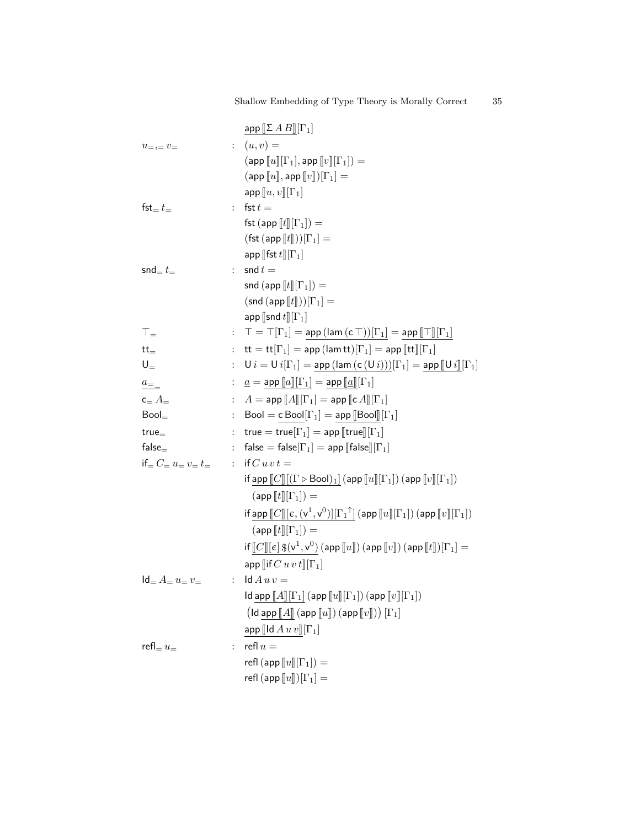|                                                |                           | $\textsf{app}\left[\![\Sigma \, A \, B]\!](\Gamma_1\right]$                                                                                                                                                                   |
|------------------------------------------------|---------------------------|-------------------------------------------------------------------------------------------------------------------------------------------------------------------------------------------------------------------------------|
| $u_{=},=v_{=}$                                 |                           | $\colon$ $(u,v) =$                                                                                                                                                                                                            |
|                                                |                           | $(\textsf{app}\, [\![u]\!][\Gamma_1], \textsf{app}\, [\![v]\!][\Gamma_1]) =$                                                                                                                                                  |
|                                                |                           | $(\textsf{app}\, [\![u]\!], \textsf{app}\, [\![v]\!])[\Gamma_1] =$                                                                                                                                                            |
|                                                |                           | $\textsf{app}\left[\!\left[u,v\right]\!\right]\!\left[\Gamma_1\right]$                                                                                                                                                        |
| fst $_t$                                       |                           | : fst $t=$                                                                                                                                                                                                                    |
|                                                |                           | fst (app $[t][\Gamma_1]) =$                                                                                                                                                                                                   |
|                                                |                           | $(fst(\text{app }[[t]]))[\Gamma_1] =$                                                                                                                                                                                         |
|                                                |                           | app [fst $t$ ][ $\Gamma_1$ ]                                                                                                                                                                                                  |
| $\mathsf{snd}_{=} t$                           | $\mathbb{Z}^{\mathbb{Z}}$ | snd $t =$                                                                                                                                                                                                                     |
|                                                |                           | snd (app $[[t]$ $[\Gamma_1]$ ) =                                                                                                                                                                                              |
|                                                |                           | $(\textsf{snd}(\textsf{app}\, [\![t]\!]))[\Gamma_1] =$                                                                                                                                                                        |
|                                                |                           | app [snd $t$ ] $[\Gamma_1]$                                                                                                                                                                                                   |
| $\top_{\pm}$                                   |                           | : $\top = \top[\Gamma_1] = \mathsf{app}(\mathsf{lam}\,(\mathsf{c}\top))[\Gamma_1] = \mathsf{app}\, [\![\top]\!][\Gamma_1]$                                                                                                    |
| $tt_{=}$                                       |                           | : tt = tt $[\Gamma_1]$ = app (lam tt) $[\Gamma_1]$ = app $[\![$ tt $]\!] [\Gamma_1]$                                                                                                                                          |
| $U_{=}$                                        |                           | : $\mathsf{U} \, i = \mathsf{U} \, i [\Gamma_1] = \mathsf{app} \, (\mathsf{lam}\,(\mathsf{c}\,(\mathsf{U}\, i))) [\Gamma_1] = \mathsf{app} \, [\![\mathsf{U}\, i]\!] [\Gamma_1]$                                              |
| $a_{\equiv_{\equiv}}$                          |                           | $\therefore$ $\underline{a} =$ app $[\![a]\!] [\Gamma_1] =$ app $[\![\underline{a}]\!] [\Gamma_1]$                                                                                                                            |
| $c = A_{=}$                                    |                           | $\therefore A = \mathsf{app} [A] [\Gamma_1] = \mathsf{app} [c A] [\Gamma_1]$                                                                                                                                                  |
| Bool                                           |                           | : Bool = c Bool $[\Gamma_1]$ = app $[\![\text{Bool}]\!][\Gamma_1]$                                                                                                                                                            |
| $true_{=}$                                     |                           | : true = true $[\Gamma_1]$ = app $[\![$ true $]\!] [\Gamma_1]$                                                                                                                                                                |
| $false_$                                       |                           | : false = false $[\Gamma_1]$ = app $[\![$ false $]\!] [\Gamma_1]$                                                                                                                                                             |
| if <sub>=</sub> $C_=u=v=t=$                    |                           | : if $C u v t =$                                                                                                                                                                                                              |
|                                                |                           | if app $\llbracket C \rrbracket [(\Gamma \triangleright \mathsf{Bool})_1]$ (app $\llbracket u \rrbracket [\Gamma_1]$ ) (app $\llbracket v \rrbracket [\Gamma_1]$ )                                                            |
|                                                |                           | $(\textsf{app}\, [\![t]\!][\Gamma_1]) =$                                                                                                                                                                                      |
|                                                |                           | if app $\llbracket C \rrbracket[\epsilon, (\mathsf{v}^1, \mathsf{v}^0)][\Gamma_1^\uparrow]$ (app $\llbracket u \rrbracket[\Gamma_1]$ ) (app $\llbracket v \rrbracket[\Gamma_1]$ )<br>$(\textsf{app}\, [\![t]\!][\Gamma_1]) =$ |
|                                                |                           |                                                                                                                                                                                                                               |
|                                                |                           | $\mathsf{if}\,\llbracket C\rrbracket[\![\epsilon]\,\$(\mathsf{v}^1,\mathsf{v}^0)\,(\mathsf{app}\,\llbracket u\rrbracket)\,(\mathsf{app}\,\llbracket v\rrbracket)\,(\mathsf{app}\,\llbracket t\rrbracket)[\Gamma_1]=$          |
|                                                |                           | app $\left[\left  \mathsf{if} \, C \, u \, v \, t \right  \right] \left[ \Gamma_1 \right]$                                                                                                                                    |
| $\mathsf{Id}_=A=u=v_+$ : $\mathsf{Id} A u v =$ |                           |                                                                                                                                                                                                                               |
|                                                |                           | $\operatorname{\sf Id}{\text{\rm app}\,}\llbracket A\rrbracket[\Gamma_1]\,({\text{\rm app}\,}\llbracket u\rrbracket[\Gamma_1])\,({\text{\rm app}\,}\llbracket v\rrbracket[\Gamma_1])$                                         |
|                                                |                           | $\big(\mathsf{Id}\,\mathsf{app}\, [\![A]\!](\mathsf{app}\, [\![u]\!])\,(\mathsf{app}\, [\![v]\!])\big)\, [\Gamma_1]$                                                                                                          |
|                                                |                           | app $[\![\mathsf{Id}\, A\, u\, v]\!] [\Gamma_1]$                                                                                                                                                                              |
| refl <sub>=<math>u</math>=</sub>               | $\ddot{\cdot}$            | refl $u =$                                                                                                                                                                                                                    |
|                                                |                           | refl (app $\llbracket u \rrbracket[\Gamma_1]$ ) =                                                                                                                                                                             |
|                                                |                           | refl (app $\llbracket u \rrbracket)[\Gamma_1] =$                                                                                                                                                                              |